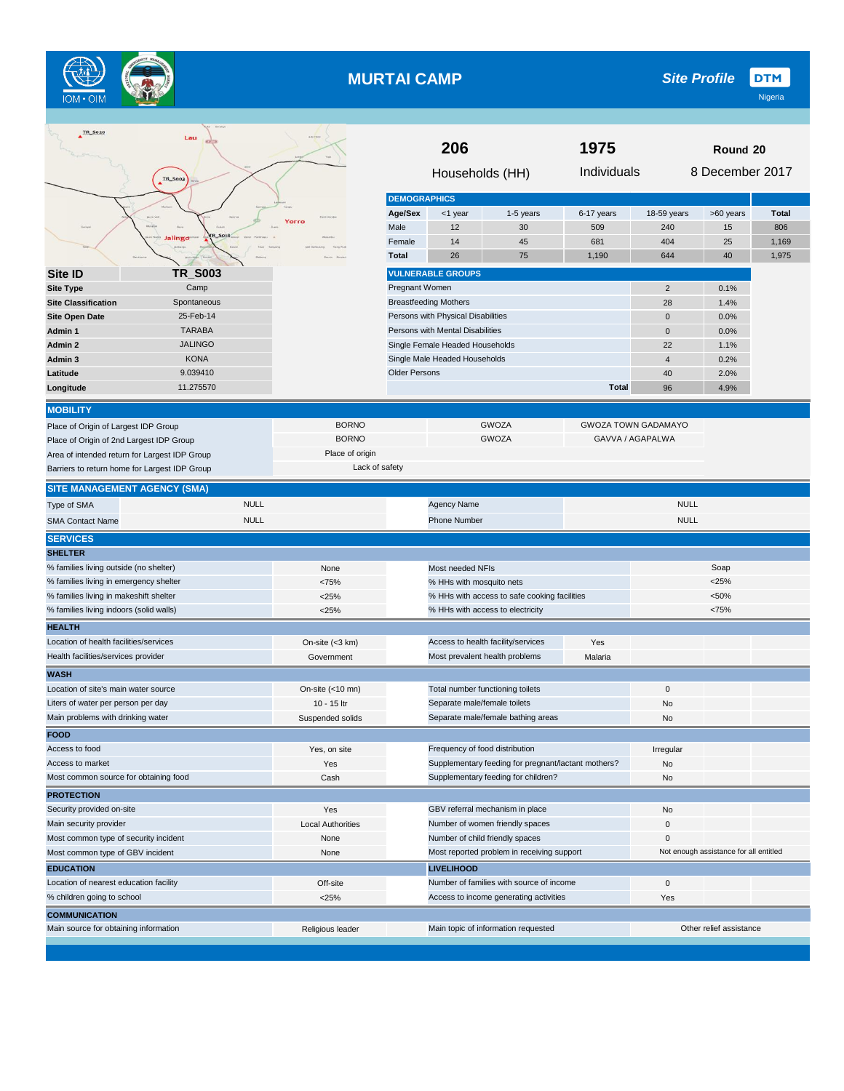

## **MURTAI CAMP**

| TR_S020                                                                                        | Lau                        |                          | 206                                        |                                    |                                                     | 1975                       | Round 20<br>8 December 2017 |                                        |                     |
|------------------------------------------------------------------------------------------------|----------------------------|--------------------------|--------------------------------------------|------------------------------------|-----------------------------------------------------|----------------------------|-----------------------------|----------------------------------------|---------------------|
|                                                                                                | <b>TR_S003</b>             |                          |                                            | Households (HH)                    |                                                     | Individuals                |                             |                                        |                     |
|                                                                                                |                            |                          | <b>DEMOGRAPHICS</b>                        |                                    |                                                     |                            |                             |                                        |                     |
|                                                                                                |                            | Yorro                    | Age/Sex<br>Male                            | <1 year<br>12                      | 1-5 years<br>30                                     | 6-17 years<br>509          | 18-59 years<br>240          | >60 years                              | <b>Total</b><br>806 |
|                                                                                                | lalingo                    |                          | Female                                     | 14                                 | 45                                                  | 681                        | 404                         | 15<br>25                               | 1,169               |
|                                                                                                |                            |                          | <b>Total</b>                               | 26                                 | 75                                                  | 1,190                      | 644                         | 40                                     | 1,975               |
| Site ID                                                                                        | <b>TR_S003</b>             |                          |                                            | <b>VULNERABLE GROUPS</b>           |                                                     |                            |                             |                                        |                     |
| <b>Site Type</b>                                                                               | Camp                       |                          | Pregnant Women                             |                                    |                                                     |                            | $\overline{2}$              | 0.1%                                   |                     |
| <b>Site Classification</b>                                                                     | Spontaneous                |                          |                                            | <b>Breastfeeding Mothers</b>       |                                                     |                            | 28                          | 1.4%                                   |                     |
| <b>Site Open Date</b>                                                                          | 25-Feb-14                  |                          |                                            | Persons with Physical Disabilities |                                                     |                            | $\mathbf 0$                 | 0.0%                                   |                     |
| Admin 1                                                                                        | <b>TARABA</b>              |                          |                                            | Persons with Mental Disabilities   |                                                     |                            | $\mathbf 0$                 | 0.0%                                   |                     |
| Admin 2                                                                                        | <b>JALINGO</b>             |                          |                                            | Single Female Headed Households    |                                                     |                            | 22                          | 1.1%                                   |                     |
| Admin 3                                                                                        | <b>KONA</b>                |                          |                                            | Single Male Headed Households      |                                                     |                            | $\overline{4}$              | 0.2%                                   |                     |
| Latitude                                                                                       | 9.039410                   |                          | <b>Older Persons</b>                       |                                    |                                                     |                            | 40                          | 2.0%                                   |                     |
| Longitude                                                                                      | 11.275570                  |                          |                                            |                                    |                                                     | <b>Total</b>               | 96                          | 4.9%                                   |                     |
|                                                                                                |                            |                          |                                            |                                    |                                                     |                            |                             |                                        |                     |
| <b>MOBILITY</b>                                                                                |                            | <b>BORNO</b>             |                                            |                                    | <b>GWOZA</b>                                        | <b>GWOZA TOWN GADAMAYO</b> |                             |                                        |                     |
| Place of Origin of Largest IDP Group                                                           |                            | <b>BORNO</b>             |                                            |                                    | <b>GWOZA</b>                                        | GAVVA / AGAPALWA           |                             |                                        |                     |
| Place of Origin of 2nd Largest IDP Group                                                       |                            | Place of origin          |                                            |                                    |                                                     |                            |                             |                                        |                     |
| Area of intended return for Largest IDP Group<br>Barriers to return home for Largest IDP Group |                            | Lack of safety           |                                            |                                    |                                                     |                            |                             |                                        |                     |
|                                                                                                |                            |                          |                                            |                                    |                                                     |                            |                             |                                        |                     |
| <b>SITE MANAGEMENT AGENCY (SMA)</b>                                                            |                            |                          |                                            |                                    |                                                     |                            |                             |                                        |                     |
| Type of SMA                                                                                    | <b>NULL</b><br><b>NULL</b> |                          |                                            | Agency Name<br><b>Phone Number</b> |                                                     |                            | <b>NULL</b><br><b>NULL</b>  |                                        |                     |
| <b>SMA Contact Name</b>                                                                        |                            |                          |                                            |                                    |                                                     |                            |                             |                                        |                     |
| <b>SERVICES</b><br><b>SHELTER</b>                                                              |                            |                          |                                            |                                    |                                                     |                            |                             |                                        |                     |
| % families living outside (no shelter)                                                         |                            | None                     |                                            | Most needed NFIs                   |                                                     |                            |                             | Soap                                   |                     |
| % families living in emergency shelter                                                         |                            | <75%                     |                                            | % HHs with mosquito nets           |                                                     |                            |                             | $<$ 25%                                |                     |
| % families living in makeshift shelter                                                         |                            | < 25%                    |                                            |                                    | % HHs with access to safe cooking facilities        |                            |                             | < 50%                                  |                     |
| % families living indoors (solid walls)                                                        |                            | < 25%                    |                                            | % HHs with access to electricity   |                                                     |                            | <75%                        |                                        |                     |
| <b>HEALTH</b>                                                                                  |                            |                          |                                            |                                    |                                                     |                            |                             |                                        |                     |
| Location of health facilities/services                                                         |                            | On-site $(<3$ km)        |                                            | Access to health facility/services |                                                     | Yes                        |                             |                                        |                     |
| Health facilities/services provider                                                            |                            | Government               |                                            | Most prevalent health problems     |                                                     | Malaria                    |                             |                                        |                     |
| <b>WASH</b>                                                                                    |                            |                          |                                            |                                    |                                                     |                            |                             |                                        |                     |
| Location of site's main water source                                                           |                            | On-site $(<10$ mn)       |                                            | Total number functioning toilets   |                                                     |                            | $\mathbf 0$                 |                                        |                     |
| Liters of water per person per day                                                             |                            | 10 - 15 ltr              |                                            | Separate male/female toilets       |                                                     |                            | No                          |                                        |                     |
| Main problems with drinking water                                                              |                            | Suspended solids         |                                            |                                    | Separate male/female bathing areas                  |                            | No                          |                                        |                     |
| <b>FOOD</b>                                                                                    |                            |                          |                                            |                                    |                                                     |                            |                             |                                        |                     |
| Access to food                                                                                 |                            | Yes, on site             |                                            | Frequency of food distribution     |                                                     |                            | Irregular                   |                                        |                     |
| Access to market                                                                               |                            | Yes                      |                                            |                                    | Supplementary feeding for pregnant/lactant mothers? |                            | No                          |                                        |                     |
| Most common source for obtaining food                                                          |                            | Cash                     |                                            |                                    | Supplementary feeding for children?                 |                            | No                          |                                        |                     |
| <b>PROTECTION</b>                                                                              |                            |                          |                                            |                                    |                                                     |                            |                             |                                        |                     |
| Security provided on-site                                                                      |                            | Yes                      |                                            | GBV referral mechanism in place    |                                                     |                            | No                          |                                        |                     |
| Main security provider                                                                         |                            | <b>Local Authorities</b> |                                            |                                    | Number of women friendly spaces                     |                            | $\mathbf 0$                 |                                        |                     |
| Most common type of security incident                                                          |                            | None                     | Number of child friendly spaces            |                                    |                                                     |                            | 0                           |                                        |                     |
| Most common type of GBV incident                                                               |                            | None                     | Most reported problem in receiving support |                                    |                                                     |                            |                             | Not enough assistance for all entitled |                     |
| <b>EDUCATION</b>                                                                               |                            |                          | <b>LIVELIHOOD</b>                          |                                    |                                                     |                            |                             |                                        |                     |
| Location of nearest education facility                                                         |                            | Off-site                 |                                            |                                    | Number of families with source of income            |                            | $\mathbf 0$                 |                                        |                     |
| % children going to school                                                                     |                            | $<$ 25%                  |                                            |                                    | Access to income generating activities              |                            | Yes                         |                                        |                     |
| <b>COMMUNICATION</b>                                                                           |                            |                          |                                            |                                    |                                                     |                            |                             |                                        |                     |
| Main source for obtaining information                                                          |                            | Religious leader         |                                            |                                    | Main topic of information requested                 |                            |                             | Other relief assistance                |                     |
|                                                                                                |                            |                          |                                            |                                    |                                                     |                            |                             |                                        |                     |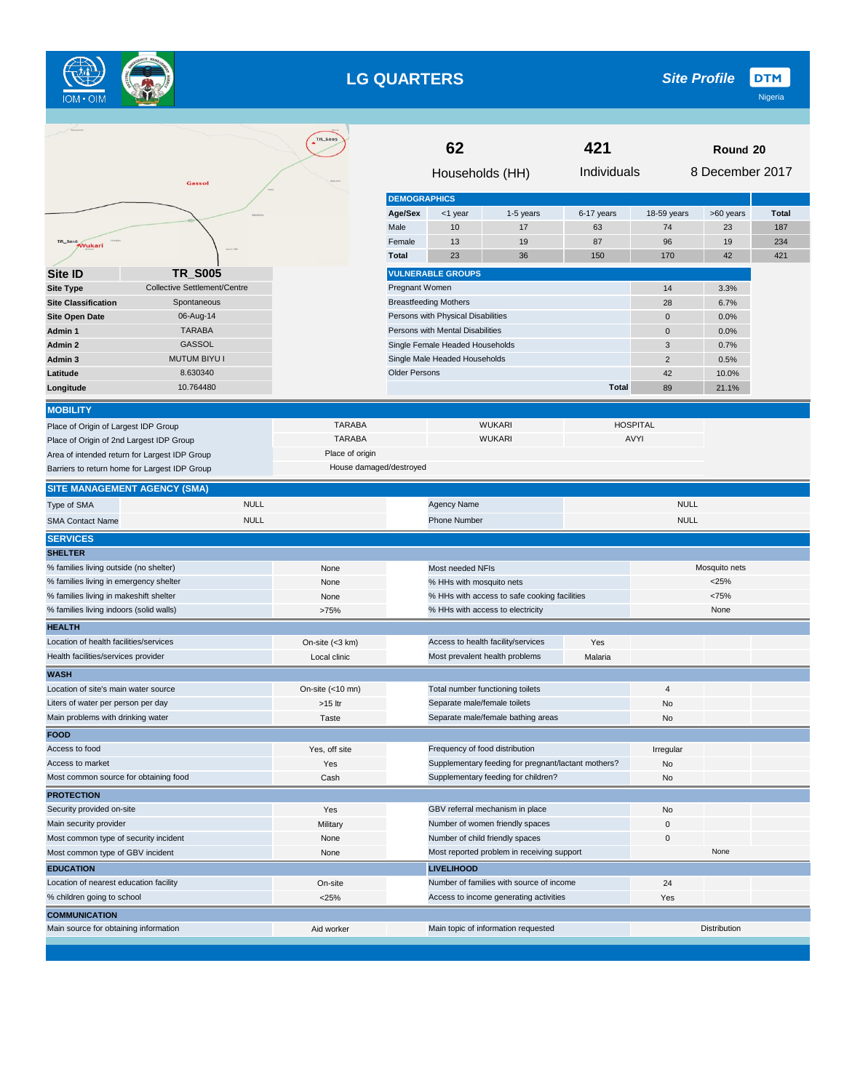

## **LG QUARTERS**

|                                                                                           |                                     | TR_SOOS            | 62                      |                                    |                                                     | 421          | Round 20                       |               |              |
|-------------------------------------------------------------------------------------------|-------------------------------------|--------------------|-------------------------|------------------------------------|-----------------------------------------------------|--------------|--------------------------------|---------------|--------------|
|                                                                                           | Gassol                              |                    | Households (HH)         |                                    |                                                     |              | 8 December 2017<br>Individuals |               |              |
|                                                                                           |                                     |                    | <b>DEMOGRAPHICS</b>     |                                    |                                                     |              |                                |               |              |
|                                                                                           |                                     |                    | Age/Sex                 | <1 year                            | 1-5 years                                           | 6-17 years   | 18-59 years                    | >60 years     | <b>Total</b> |
|                                                                                           |                                     |                    | Male                    | 10                                 | 17                                                  | 63           | 74                             | 23            | 187          |
| <b>TR_S016</b><br>Wukari                                                                  |                                     |                    | Female                  | 13                                 | 19                                                  | 87           | 96                             | 19            | 234          |
|                                                                                           |                                     |                    | <b>Total</b>            | 23                                 | 36                                                  | 150          | 170                            | 42            | 421          |
| Site ID                                                                                   | <b>TR_S005</b>                      |                    |                         | <b>VULNERABLE GROUPS</b>           |                                                     |              |                                |               |              |
| <b>Site Type</b>                                                                          | <b>Collective Settlement/Centre</b> |                    | Pregnant Women          |                                    |                                                     |              | 14                             | 3.3%          |              |
| <b>Site Classification</b>                                                                | Spontaneous                         |                    |                         | <b>Breastfeeding Mothers</b>       |                                                     |              | 28                             | 6.7%          |              |
| <b>Site Open Date</b>                                                                     | 06-Aug-14                           |                    |                         | Persons with Physical Disabilities |                                                     |              | $\mathbf 0$                    | 0.0%          |              |
| Admin 1                                                                                   | <b>TARABA</b>                       |                    |                         | Persons with Mental Disabilities   |                                                     |              | $\mathbf 0$                    | 0.0%          |              |
| Admin 2                                                                                   | GASSOL                              |                    |                         | Single Female Headed Households    |                                                     |              | 3                              | 0.7%          |              |
| Admin 3                                                                                   | <b>MUTUM BIYU I</b>                 |                    |                         | Single Male Headed Households      |                                                     |              | $\sqrt{2}$                     | 0.5%          |              |
| Latitude                                                                                  | 8.630340                            |                    | <b>Older Persons</b>    |                                    |                                                     |              | 42                             | 10.0%         |              |
| Longitude                                                                                 | 10.764480                           |                    |                         |                                    |                                                     | <b>Total</b> | 89                             | 21.1%         |              |
| <b>MOBILITY</b>                                                                           |                                     |                    |                         |                                    |                                                     |              |                                |               |              |
| Place of Origin of Largest IDP Group                                                      |                                     | <b>TARABA</b>      |                         |                                    | <b>WUKARI</b>                                       |              | <b>HOSPITAL</b>                |               |              |
|                                                                                           |                                     | <b>TARABA</b>      |                         |                                    | <b>WUKARI</b>                                       |              | AVYI                           |               |              |
| Place of Origin of 2nd Largest IDP Group<br>Area of intended return for Largest IDP Group |                                     | Place of origin    |                         |                                    |                                                     |              |                                |               |              |
| Barriers to return home for Largest IDP Group                                             |                                     |                    | House damaged/destroyed |                                    |                                                     |              |                                |               |              |
|                                                                                           |                                     |                    |                         |                                    |                                                     |              |                                |               |              |
| <b>SITE MANAGEMENT AGENCY (SMA)</b>                                                       |                                     |                    |                         |                                    |                                                     |              |                                |               |              |
| Type of SMA                                                                               | <b>NULL</b>                         |                    |                         | Agency Name                        |                                                     |              | <b>NULL</b>                    |               |              |
| <b>SMA Contact Name</b>                                                                   | <b>NULL</b>                         |                    |                         | <b>Phone Number</b>                |                                                     |              | <b>NULL</b>                    |               |              |
| <b>SERVICES</b>                                                                           |                                     |                    |                         |                                    |                                                     |              |                                |               |              |
| <b>SHELTER</b>                                                                            |                                     |                    |                         |                                    |                                                     |              |                                |               |              |
| % families living outside (no shelter)                                                    |                                     | None               |                         | Most needed NFIs                   |                                                     |              |                                | Mosquito nets |              |
| % families living in emergency shelter                                                    |                                     | None               |                         | % HHs with mosquito nets           |                                                     |              |                                | $<$ 25%       |              |
| % families living in makeshift shelter                                                    |                                     | None               |                         |                                    | % HHs with access to safe cooking facilities        |              |                                | <75%          |              |
| % families living indoors (solid walls)                                                   |                                     | >75%               |                         |                                    | % HHs with access to electricity                    |              |                                | None          |              |
| <b>HEALTH</b>                                                                             |                                     |                    |                         |                                    |                                                     |              |                                |               |              |
| Location of health facilities/services                                                    |                                     | On-site (<3 km)    |                         |                                    | Access to health facility/services                  | Yes          |                                |               |              |
| Health facilities/services provider                                                       |                                     | Local clinic       |                         | Most prevalent health problems     |                                                     | Malaria      |                                |               |              |
| <b>WASH</b>                                                                               |                                     |                    |                         |                                    |                                                     |              |                                |               |              |
| Location of site's main water source                                                      |                                     | On-site $(<10$ mn) |                         | Total number functioning toilets   |                                                     |              | $\overline{4}$                 |               |              |
| Liters of water per person per day                                                        |                                     | >15 ltr            |                         | Separate male/female toilets       |                                                     |              | No                             |               |              |
| Main problems with drinking water                                                         |                                     | Taste              |                         |                                    | Separate male/female bathing areas                  |              | No                             |               |              |
| <b>FOOD</b>                                                                               |                                     |                    |                         |                                    |                                                     |              |                                |               |              |
| Access to food                                                                            |                                     | Yes, off site      |                         | Frequency of food distribution     |                                                     |              | Irregular                      |               |              |
| Access to market                                                                          |                                     | Yes                |                         |                                    | Supplementary feeding for pregnant/lactant mothers? |              | No                             |               |              |
| Most common source for obtaining food                                                     |                                     | Cash               |                         |                                    | Supplementary feeding for children?                 |              | No                             |               |              |
| <b>PROTECTION</b>                                                                         |                                     |                    |                         |                                    |                                                     |              |                                |               |              |
| Security provided on-site                                                                 |                                     | Yes                |                         |                                    | GBV referral mechanism in place                     |              | No                             |               |              |
| Main security provider                                                                    |                                     | Military           |                         |                                    | Number of women friendly spaces                     |              | 0                              |               |              |
| Most common type of security incident                                                     |                                     | None               |                         | Number of child friendly spaces    |                                                     |              | $\pmb{0}$                      |               |              |
| Most common type of GBV incident                                                          |                                     | None               |                         |                                    | Most reported problem in receiving support          |              |                                | None          |              |
| <b>EDUCATION</b>                                                                          |                                     |                    |                         | <b>LIVELIHOOD</b>                  |                                                     |              |                                |               |              |
| Location of nearest education facility                                                    |                                     | On-site            |                         |                                    | Number of families with source of income            |              | 24                             |               |              |
| % children going to school                                                                |                                     | $<$ 25%            |                         |                                    | Access to income generating activities              |              | Yes                            |               |              |
| <b>COMMUNICATION</b>                                                                      |                                     |                    |                         |                                    |                                                     |              |                                |               |              |
| Main source for obtaining information                                                     |                                     | Aid worker         |                         |                                    | Main topic of information requested                 |              |                                | Distribution  |              |
|                                                                                           |                                     |                    |                         |                                    |                                                     |              |                                |               |              |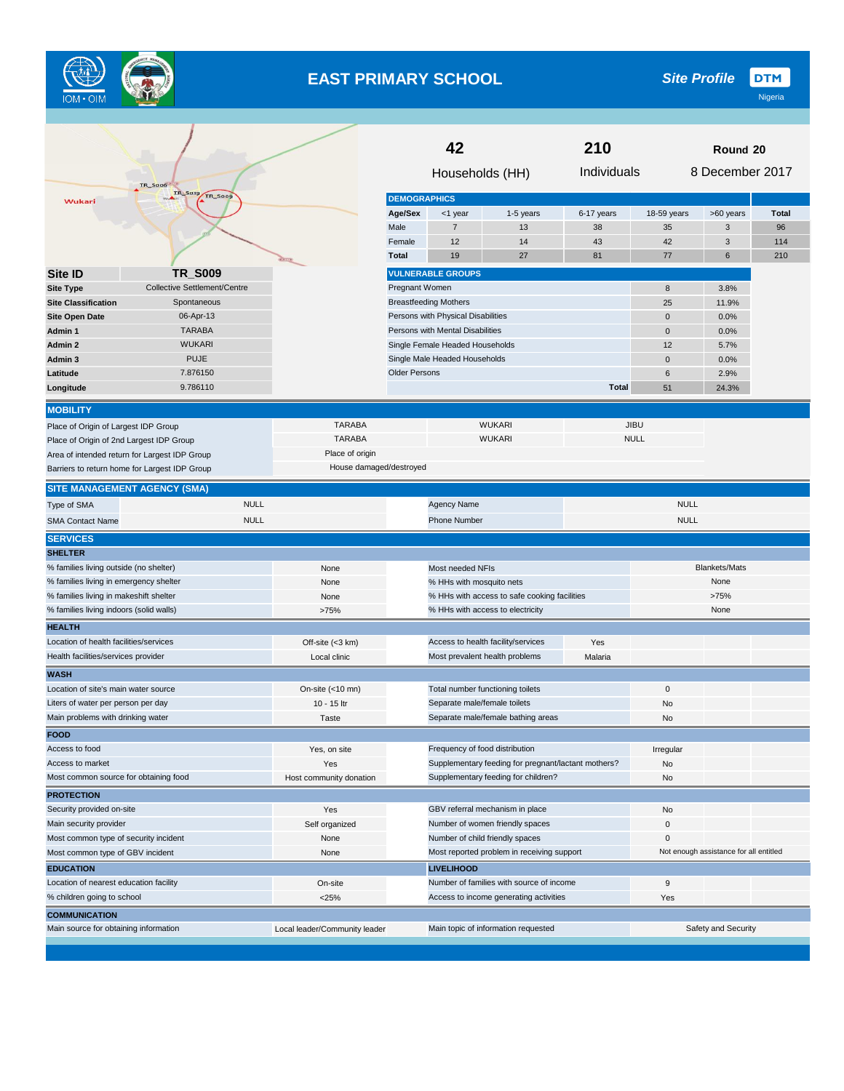

# **EAST PRIMARY SCHOOL**

|                                                     |                                               |                               | 42<br>210                                     |                                    |                                                     | Round 20     |             |                                        |              |  |
|-----------------------------------------------------|-----------------------------------------------|-------------------------------|-----------------------------------------------|------------------------------------|-----------------------------------------------------|--------------|-------------|----------------------------------------|--------------|--|
|                                                     | <b>TR_S006</b>                                |                               |                                               | Households (HH)                    |                                                     | Individuals  |             | 8 December 2017                        |              |  |
| Wukari                                              | <b>TR S019</b><br>TR_Soog                     |                               | <b>DEMOGRAPHICS</b>                           |                                    |                                                     |              |             |                                        |              |  |
|                                                     |                                               |                               | Age/Sex                                       | <1 year                            | 1-5 years                                           | 6-17 years   | 18-59 years | >60 years                              | <b>Total</b> |  |
|                                                     |                                               |                               | Male                                          | $\overline{7}$                     | 13                                                  | 38           | 35          | 3                                      | 96           |  |
|                                                     |                                               |                               | Female                                        | 12                                 | 14                                                  | 43           | 42          | 3                                      | 114          |  |
|                                                     |                                               | <b>GITE</b>                   | <b>Total</b>                                  | 19                                 | 27                                                  | 81           | 77          | 6                                      | 210          |  |
| Site ID                                             | <b>TR_S009</b>                                |                               |                                               | <b>VULNERABLE GROUPS</b>           |                                                     |              |             |                                        |              |  |
| <b>Site Type</b>                                    | Collective Settlement/Centre                  |                               | Pregnant Women                                |                                    |                                                     |              | 8           | 3.8%                                   |              |  |
| <b>Site Classification</b>                          | Spontaneous                                   |                               |                                               | <b>Breastfeeding Mothers</b>       |                                                     |              | 25          | 11.9%                                  |              |  |
| <b>Site Open Date</b>                               | 06-Apr-13                                     |                               |                                               | Persons with Physical Disabilities |                                                     |              | $\pmb{0}$   | 0.0%                                   |              |  |
| Admin 1                                             | <b>TARABA</b>                                 |                               |                                               | Persons with Mental Disabilities   |                                                     |              | $\mathbf 0$ | 0.0%                                   |              |  |
| Admin 2                                             | <b>WUKARI</b>                                 |                               |                                               | Single Female Headed Households    |                                                     |              | 12          | 5.7%                                   |              |  |
| Admin 3                                             | <b>PUJE</b>                                   |                               |                                               | Single Male Headed Households      |                                                     |              | $\mathbf 0$ | 0.0%                                   |              |  |
| Latitude                                            | 7.876150                                      |                               | <b>Older Persons</b>                          |                                    |                                                     | 6            | 2.9%        |                                        |              |  |
| Longitude                                           | 9.786110                                      |                               |                                               |                                    |                                                     | <b>Total</b> | 51          | 24.3%                                  |              |  |
| <b>MOBILITY</b>                                     |                                               |                               |                                               |                                    |                                                     |              |             |                                        |              |  |
| Place of Origin of Largest IDP Group                |                                               | <b>TARABA</b>                 |                                               |                                    | <b>WUKARI</b>                                       |              | <b>JIBU</b> |                                        |              |  |
| Place of Origin of 2nd Largest IDP Group            |                                               | <b>TARABA</b>                 |                                               |                                    | <b>WUKARI</b>                                       |              | <b>NULL</b> |                                        |              |  |
|                                                     | Area of intended return for Largest IDP Group | Place of origin               |                                               |                                    |                                                     |              |             |                                        |              |  |
|                                                     | Barriers to return home for Largest IDP Group | House damaged/destroyed       |                                               |                                    |                                                     |              |             |                                        |              |  |
| <b>SITE MANAGEMENT AGENCY (SMA)</b>                 |                                               |                               |                                               |                                    |                                                     |              |             |                                        |              |  |
| Type of SMA                                         | <b>NULL</b>                                   |                               |                                               | <b>Agency Name</b>                 |                                                     |              | <b>NULL</b> |                                        |              |  |
| <b>SMA Contact Name</b>                             | <b>NULL</b>                                   |                               |                                               | <b>Phone Number</b>                |                                                     |              | <b>NULL</b> |                                        |              |  |
| <b>SERVICES</b>                                     |                                               |                               |                                               |                                    |                                                     |              |             |                                        |              |  |
| <b>SHELTER</b>                                      |                                               |                               |                                               |                                    |                                                     |              |             |                                        |              |  |
| % families living outside (no shelter)              |                                               | None                          |                                               | Most needed NFIs                   |                                                     |              |             | <b>Blankets/Mats</b>                   |              |  |
| % families living in emergency shelter              |                                               | None                          |                                               | % HHs with mosquito nets           |                                                     |              |             | None                                   |              |  |
| % families living in makeshift shelter              |                                               | None                          |                                               |                                    | % HHs with access to safe cooking facilities        |              |             | >75%                                   |              |  |
| % families living indoors (solid walls)             |                                               | >75%                          |                                               |                                    | % HHs with access to electricity                    |              |             | None                                   |              |  |
| <b>HEALTH</b>                                       |                                               |                               |                                               |                                    |                                                     |              |             |                                        |              |  |
| Location of health facilities/services              |                                               | Off-site (<3 km)              |                                               |                                    | Access to health facility/services                  | Yes          |             |                                        |              |  |
| Health facilities/services provider                 |                                               | Local clinic                  |                                               |                                    | Most prevalent health problems                      | Malaria      |             |                                        |              |  |
| <b>WASH</b><br>Location of site's main water source |                                               | On-site $(<10$ mn)            |                                               |                                    | Total number functioning toilets                    |              | 0           |                                        |              |  |
| Liters of water per person per day                  |                                               | 10 - 15 ltr                   |                                               | Separate male/female toilets       |                                                     |              | No          |                                        |              |  |
| Main problems with drinking water                   |                                               | Taste                         |                                               |                                    | Separate male/female bathing areas                  |              | No          |                                        |              |  |
| <b>FOOD</b>                                         |                                               |                               |                                               |                                    |                                                     |              |             |                                        |              |  |
| Access to food                                      |                                               | Yes, on site                  |                                               |                                    | Frequency of food distribution                      |              | Irregular   |                                        |              |  |
| Access to market                                    |                                               | Yes                           |                                               |                                    | Supplementary feeding for pregnant/lactant mothers? |              | No          |                                        |              |  |
| Most common source for obtaining food               |                                               | Host community donation       |                                               |                                    | Supplementary feeding for children?                 |              | No          |                                        |              |  |
| <b>PROTECTION</b>                                   |                                               |                               |                                               |                                    |                                                     |              |             |                                        |              |  |
| Security provided on-site                           |                                               | Yes                           |                                               |                                    | GBV referral mechanism in place                     |              | No          |                                        |              |  |
| Main security provider                              |                                               | Self organized                | Number of women friendly spaces               |                                    |                                                     |              | 0           |                                        |              |  |
| Most common type of security incident               |                                               | None                          | Number of child friendly spaces               |                                    |                                                     |              | 0           |                                        |              |  |
| Most common type of GBV incident                    |                                               | None                          | Most reported problem in receiving support    |                                    |                                                     |              |             | Not enough assistance for all entitled |              |  |
| <b>EDUCATION</b>                                    |                                               |                               | <b>LIVELIHOOD</b>                             |                                    |                                                     |              |             |                                        |              |  |
| Location of nearest education facility              |                                               | On-site                       | Number of families with source of income<br>9 |                                    |                                                     |              |             |                                        |              |  |
| % children going to school                          |                                               | $<$ 25%                       | Access to income generating activities<br>Yes |                                    |                                                     |              |             |                                        |              |  |
| <b>COMMUNICATION</b>                                |                                               |                               |                                               |                                    |                                                     |              |             |                                        |              |  |
| Main source for obtaining information               |                                               | Local leader/Community leader |                                               |                                    | Main topic of information requested                 |              |             | Safety and Security                    |              |  |
|                                                     |                                               |                               |                                               |                                    |                                                     |              |             |                                        |              |  |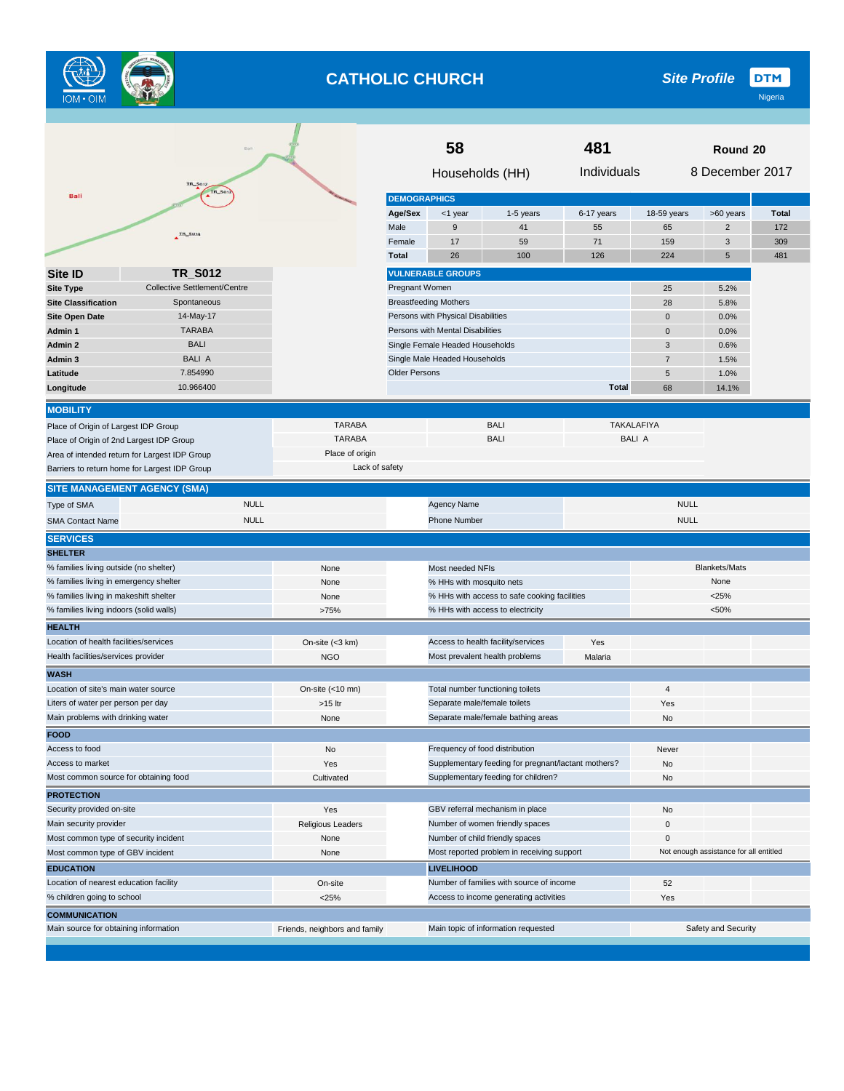

# **CATHOLIC CHURCH**

**DTM** *Site Profile*

|                                          | B <sub>0</sub>                                |                                |                      | 58                                 |                                                     | 481          |                     | Round 20                               |              |
|------------------------------------------|-----------------------------------------------|--------------------------------|----------------------|------------------------------------|-----------------------------------------------------|--------------|---------------------|----------------------------------------|--------------|
|                                          |                                               | Individuals<br>Households (HH) |                      |                                    |                                                     |              |                     | 8 December 2017                        |              |
| <b>Bali</b>                              | <b>TR_S017</b><br>TR_S012                     |                                |                      |                                    |                                                     |              |                     |                                        |              |
|                                          |                                               |                                | <b>DEMOGRAPHICS</b>  |                                    |                                                     |              |                     |                                        |              |
|                                          |                                               |                                | Age/Sex              | <1 year                            | 1-5 years                                           | 6-17 years   | 18-59 years         | >60 years                              | <b>Total</b> |
|                                          | TR_SO14                                       |                                | Male                 | 9                                  | 41                                                  | 55           | 65                  | $\overline{2}$                         | 172          |
|                                          |                                               |                                | Female               | 17<br>26                           | 59                                                  | 71<br>126    | 159                 | 3                                      | 309          |
|                                          |                                               |                                | <b>Total</b>         |                                    | 100                                                 |              | 224                 | 5                                      | 481          |
| <b>Site ID</b>                           | <b>TR_S012</b>                                |                                |                      | <b>VULNERABLE GROUPS</b>           |                                                     |              |                     |                                        |              |
| <b>Site Type</b>                         | <b>Collective Settlement/Centre</b>           |                                | Pregnant Women       |                                    |                                                     |              | 25                  | 5.2%                                   |              |
| <b>Site Classification</b>               | Spontaneous                                   |                                |                      | <b>Breastfeeding Mothers</b>       |                                                     |              | 28                  | 5.8%                                   |              |
| <b>Site Open Date</b>                    | 14-May-17<br><b>TARABA</b>                    |                                |                      | Persons with Physical Disabilities |                                                     |              | $\mathbf 0$         | 0.0%                                   |              |
| Admin 1                                  | <b>BALI</b>                                   |                                |                      | Persons with Mental Disabilities   |                                                     |              | $\mathbf 0$         | 0.0%                                   |              |
| Admin 2<br>Admin 3                       | <b>BALI A</b>                                 |                                |                      | Single Female Headed Households    |                                                     |              | 3<br>$\overline{7}$ | 0.6%                                   |              |
|                                          | 7.854990                                      |                                | <b>Older Persons</b> | Single Male Headed Households      |                                                     |              |                     | 1.5%                                   |              |
| Latitude                                 | 10.966400                                     |                                |                      |                                    |                                                     | <b>Total</b> | 5                   | 1.0%                                   |              |
| Longitude                                |                                               |                                |                      |                                    |                                                     |              | 68                  | 14.1%                                  |              |
| <b>MOBILITY</b>                          |                                               |                                |                      |                                    |                                                     |              |                     |                                        |              |
| Place of Origin of Largest IDP Group     |                                               | <b>TARABA</b>                  |                      |                                    | <b>BALI</b>                                         |              | <b>TAKALAFIYA</b>   |                                        |              |
| Place of Origin of 2nd Largest IDP Group |                                               | <b>TARABA</b>                  |                      |                                    | <b>BALI</b>                                         |              | <b>BALI A</b>       |                                        |              |
|                                          | Area of intended return for Largest IDP Group | Place of origin                |                      |                                    |                                                     |              |                     |                                        |              |
|                                          | Barriers to return home for Largest IDP Group | Lack of safety                 |                      |                                    |                                                     |              |                     |                                        |              |
|                                          | <b>SITE MANAGEMENT AGENCY (SMA)</b>           |                                |                      |                                    |                                                     |              |                     |                                        |              |
| Type of SMA                              | <b>NULL</b>                                   |                                |                      | <b>Agency Name</b>                 |                                                     |              | <b>NULL</b>         |                                        |              |
| <b>SMA Contact Name</b>                  | <b>NULL</b>                                   |                                |                      | <b>Phone Number</b>                |                                                     |              | <b>NULL</b>         |                                        |              |
| <b>SERVICES</b>                          |                                               |                                |                      |                                    |                                                     |              |                     |                                        |              |
| <b>SHELTER</b>                           |                                               |                                |                      |                                    |                                                     |              |                     |                                        |              |
| % families living outside (no shelter)   |                                               | None                           |                      | Most needed NFIs                   |                                                     |              |                     | <b>Blankets/Mats</b>                   |              |
| % families living in emergency shelter   |                                               | None                           |                      | % HHs with mosquito nets           |                                                     |              |                     | None                                   |              |
| % families living in makeshift shelter   |                                               | None                           |                      |                                    | % HHs with access to safe cooking facilities        |              |                     | $<$ 25%                                |              |
| % families living indoors (solid walls)  |                                               | >75%                           |                      |                                    | % HHs with access to electricity                    |              |                     | < 50%                                  |              |
| <b>HEALTH</b>                            |                                               |                                |                      |                                    |                                                     |              |                     |                                        |              |
| Location of health facilities/services   |                                               | On-site (<3 km)                |                      |                                    | Access to health facility/services                  | Yes          |                     |                                        |              |
| Health facilities/services provider      |                                               | <b>NGO</b>                     |                      |                                    | Most prevalent health problems                      | Malaria      |                     |                                        |              |
| <b>WASH</b>                              |                                               |                                |                      |                                    |                                                     |              |                     |                                        |              |
| Location of site's main water source     |                                               | On-site (<10 mn)               |                      |                                    | Total number functioning toilets                    |              | $\overline{4}$      |                                        |              |
| Liters of water per person per day       |                                               | >15 ltr                        |                      | Separate male/female toilets       |                                                     |              | Yes                 |                                        |              |
| Main problems with drinking water        |                                               | None                           |                      |                                    | Separate male/female bathing areas                  |              | No                  |                                        |              |
| <b>FOOD</b>                              |                                               |                                |                      |                                    |                                                     |              |                     |                                        |              |
| Access to food                           |                                               | No                             |                      | Frequency of food distribution     |                                                     |              | Never               |                                        |              |
| Access to market                         |                                               | Yes                            |                      |                                    | Supplementary feeding for pregnant/lactant mothers? |              | No                  |                                        |              |
| Most common source for obtaining food    |                                               | Cultivated                     |                      |                                    | Supplementary feeding for children?                 |              | No                  |                                        |              |
| <b>PROTECTION</b>                        |                                               |                                |                      |                                    |                                                     |              |                     |                                        |              |
| Security provided on-site                |                                               | Yes                            |                      |                                    | GBV referral mechanism in place                     |              | No                  |                                        |              |
| Main security provider                   |                                               | Religious Leaders              |                      |                                    | Number of women friendly spaces                     |              | 0                   |                                        |              |
| Most common type of security incident    |                                               | None                           |                      |                                    | Number of child friendly spaces                     |              | $\mathbf 0$         |                                        |              |
| Most common type of GBV incident         |                                               | None                           |                      |                                    | Most reported problem in receiving support          |              |                     | Not enough assistance for all entitled |              |
| <b>EDUCATION</b>                         |                                               |                                |                      | <b>LIVELIHOOD</b>                  |                                                     |              |                     |                                        |              |
| Location of nearest education facility   |                                               | On-site                        |                      |                                    | Number of families with source of income            |              | 52                  |                                        |              |
| % children going to school               |                                               | $<$ 25%                        |                      |                                    | Access to income generating activities              |              | Yes                 |                                        |              |
| <b>COMMUNICATION</b>                     |                                               |                                |                      |                                    |                                                     |              |                     |                                        |              |
| Main source for obtaining information    |                                               | Friends, neighbors and family  |                      |                                    | Main topic of information requested                 |              |                     | Safety and Security                    |              |
|                                          |                                               |                                |                      |                                    |                                                     |              |                     |                                        |              |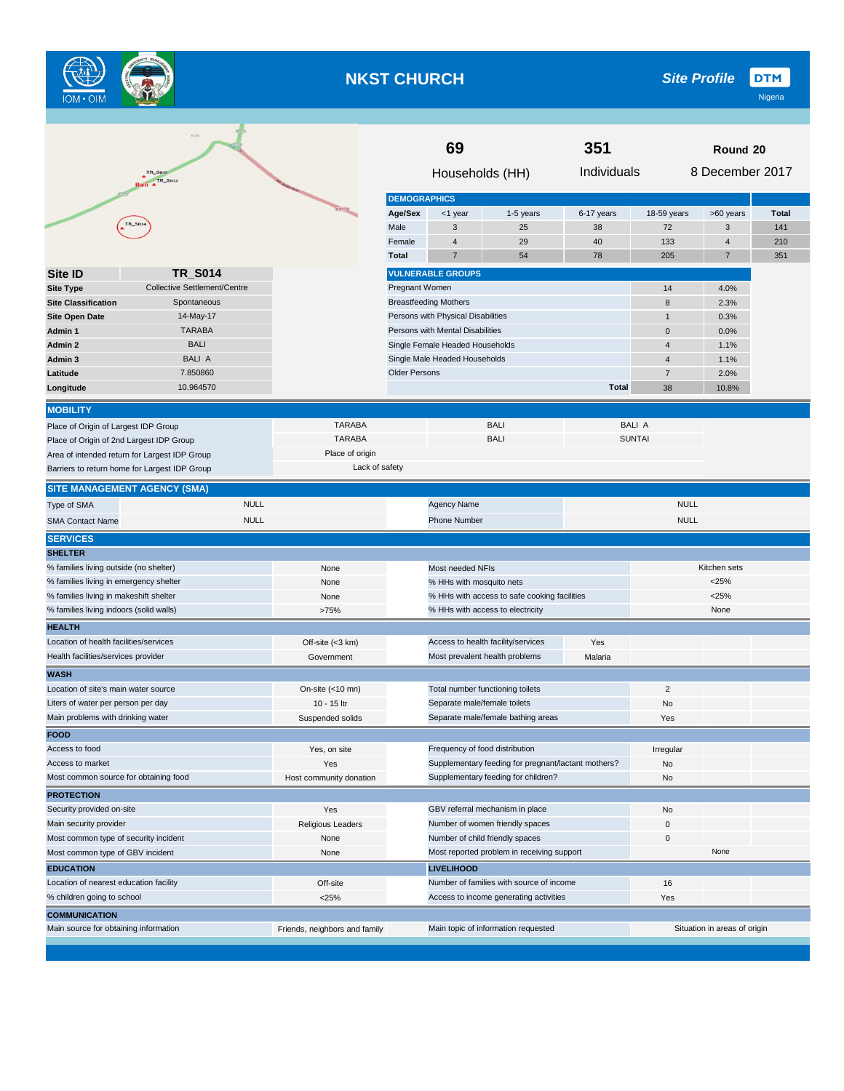

## **NKST CHURCH**

**DTM** *Site Profile*

|                                                               | Bali                                          |                               | 69                                             |                                    |                                                     | 351          |                | Round 20                     |              |  |
|---------------------------------------------------------------|-----------------------------------------------|-------------------------------|------------------------------------------------|------------------------------------|-----------------------------------------------------|--------------|----------------|------------------------------|--------------|--|
|                                                               | IR_Solz<br>Ball ATR_Son2                      |                               |                                                | Households (HH)                    |                                                     | Individuals  |                | 8 December 2017              |              |  |
|                                                               |                                               |                               | <b>DEMOGRAPHICS</b>                            |                                    |                                                     |              |                |                              |              |  |
|                                                               |                                               | <b>CATO</b>                   | Age/Sex                                        | <1 year                            | 1-5 years                                           | 6-17 years   | 18-59 years    | >60 years                    | <b>Total</b> |  |
|                                                               | TR_S014                                       |                               | Male                                           | 3                                  | 25                                                  | 38           | 72             | 3                            | 141          |  |
|                                                               |                                               |                               | Female                                         | $\overline{4}$                     | 29                                                  | 40           | 133            | 4                            | 210          |  |
|                                                               |                                               |                               | <b>Total</b>                                   | $\overline{7}$                     | 54                                                  | 78           | 205            | 7                            | 351          |  |
| <b>Site ID</b>                                                | <b>TR_S014</b>                                |                               |                                                | <b>VULNERABLE GROUPS</b>           |                                                     |              |                |                              |              |  |
| <b>Site Type</b>                                              | Collective Settlement/Centre                  |                               | Pregnant Women                                 |                                    |                                                     |              | 14             | 4.0%                         |              |  |
| <b>Site Classification</b>                                    | Spontaneous                                   |                               |                                                | <b>Breastfeeding Mothers</b>       |                                                     |              | 8              | 2.3%                         |              |  |
| <b>Site Open Date</b>                                         | 14-May-17                                     |                               |                                                | Persons with Physical Disabilities |                                                     |              | $\mathbf{1}$   | 0.3%                         |              |  |
| Admin 1                                                       | <b>TARABA</b>                                 |                               |                                                | Persons with Mental Disabilities   |                                                     |              | $\mathbf{0}$   | 0.0%                         |              |  |
| Admin 2                                                       | <b>BALI</b>                                   |                               |                                                | Single Female Headed Households    |                                                     |              | $\overline{4}$ | 1.1%                         |              |  |
| Admin 3                                                       | BALI A                                        |                               |                                                | Single Male Headed Households      |                                                     |              | $\overline{4}$ | 1.1%                         |              |  |
| Latitude                                                      | 7.850860                                      |                               | <b>Older Persons</b>                           |                                    |                                                     |              | $\overline{7}$ | 2.0%                         |              |  |
| Longitude                                                     | 10.964570                                     |                               |                                                |                                    |                                                     | <b>Total</b> | 38             | 10.8%                        |              |  |
| <b>MOBILITY</b>                                               |                                               |                               |                                                |                                    |                                                     |              |                |                              |              |  |
| Place of Origin of Largest IDP Group                          |                                               | <b>TARABA</b>                 |                                                |                                    | <b>BALI</b>                                         |              | <b>BALI A</b>  |                              |              |  |
| Place of Origin of 2nd Largest IDP Group                      |                                               | <b>TARABA</b>                 |                                                |                                    | <b>BALI</b>                                         |              | <b>SUNTAI</b>  |                              |              |  |
|                                                               | Area of intended return for Largest IDP Group | Place of origin               |                                                |                                    |                                                     |              |                |                              |              |  |
|                                                               | Barriers to return home for Largest IDP Group | Lack of safety                |                                                |                                    |                                                     |              |                |                              |              |  |
|                                                               | <b>SITE MANAGEMENT AGENCY (SMA)</b>           |                               |                                                |                                    |                                                     |              |                |                              |              |  |
| Type of SMA                                                   | <b>NULL</b>                                   |                               |                                                | Agency Name                        |                                                     |              | <b>NULL</b>    |                              |              |  |
| <b>SMA Contact Name</b>                                       | <b>NULL</b>                                   |                               |                                                | Phone Number                       |                                                     |              | <b>NULL</b>    |                              |              |  |
| <b>SERVICES</b>                                               |                                               |                               |                                                |                                    |                                                     |              |                |                              |              |  |
| <b>SHELTER</b>                                                |                                               |                               |                                                |                                    |                                                     |              |                |                              |              |  |
| % families living outside (no shelter)                        |                                               | None                          |                                                | Most needed NFIs                   |                                                     |              |                | Kitchen sets                 |              |  |
| % families living in emergency shelter                        |                                               | None                          |                                                | % HHs with mosquito nets           |                                                     |              |                | $<$ 25%                      |              |  |
| % families living in makeshift shelter                        |                                               | None                          |                                                |                                    | % HHs with access to safe cooking facilities        |              |                | $<$ 25%                      |              |  |
| % families living indoors (solid walls)                       |                                               | >75%                          |                                                |                                    | % HHs with access to electricity                    |              |                | None                         |              |  |
| <b>HEALTH</b>                                                 |                                               |                               |                                                |                                    |                                                     |              |                |                              |              |  |
| Location of health facilities/services                        |                                               | Off-site (<3 km)              |                                                |                                    | Access to health facility/services                  | Yes          |                |                              |              |  |
| Health facilities/services provider                           |                                               | Government                    |                                                |                                    | Most prevalent health problems                      | Malaria      |                |                              |              |  |
| <b>WASH</b>                                                   |                                               |                               |                                                |                                    |                                                     |              |                |                              |              |  |
| Location of site's main water source                          |                                               | On-site (<10 mn)              |                                                |                                    | Total number functioning toilets                    |              | $\overline{2}$ |                              |              |  |
| Liters of water per person per day                            |                                               | 10 - 15 ltr                   |                                                | Separate male/female toilets       |                                                     |              | No             |                              |              |  |
| Main problems with drinking water                             |                                               | Suspended solids              |                                                |                                    | Separate male/female bathing areas                  |              | Yes            |                              |              |  |
| <b>FOOD</b>                                                   |                                               |                               |                                                |                                    |                                                     |              |                |                              |              |  |
| Access to food                                                |                                               | Yes, on site                  |                                                | Frequency of food distribution     |                                                     |              | Irregular      |                              |              |  |
| Access to market                                              |                                               | Yes                           |                                                |                                    | Supplementary feeding for pregnant/lactant mothers? |              | No             |                              |              |  |
| Most common source for obtaining food                         |                                               | Host community donation       |                                                |                                    | Supplementary feeding for children?                 |              | No             |                              |              |  |
| <b>PROTECTION</b>                                             |                                               |                               |                                                |                                    |                                                     |              |                |                              |              |  |
| Security provided on-site                                     |                                               | Yes                           |                                                |                                    | GBV referral mechanism in place                     |              | No             |                              |              |  |
| Main security provider                                        |                                               | Religious Leaders             |                                                |                                    | Number of women friendly spaces                     |              | 0              |                              |              |  |
| Most common type of security incident                         |                                               | None                          | Number of child friendly spaces                |                                    |                                                     |              | $\pmb{0}$      |                              |              |  |
| Most common type of GBV incident                              |                                               | None                          | Most reported problem in receiving support     |                                    |                                                     |              |                | None                         |              |  |
| <b>EDUCATION</b>                                              |                                               |                               | <b>LIVELIHOOD</b>                              |                                    |                                                     |              |                |                              |              |  |
| Location of nearest education facility                        |                                               | Off-site                      | Number of families with source of income<br>16 |                                    |                                                     |              |                |                              |              |  |
| % children going to school                                    |                                               | <25%                          |                                                |                                    | Access to income generating activities              |              | Yes            |                              |              |  |
|                                                               |                                               |                               |                                                |                                    |                                                     |              |                |                              |              |  |
| <b>COMMUNICATION</b><br>Main source for obtaining information |                                               | Friends, neighbors and family |                                                |                                    | Main topic of information requested                 |              |                | Situation in areas of origin |              |  |
|                                                               |                                               |                               |                                                |                                    |                                                     |              |                |                              |              |  |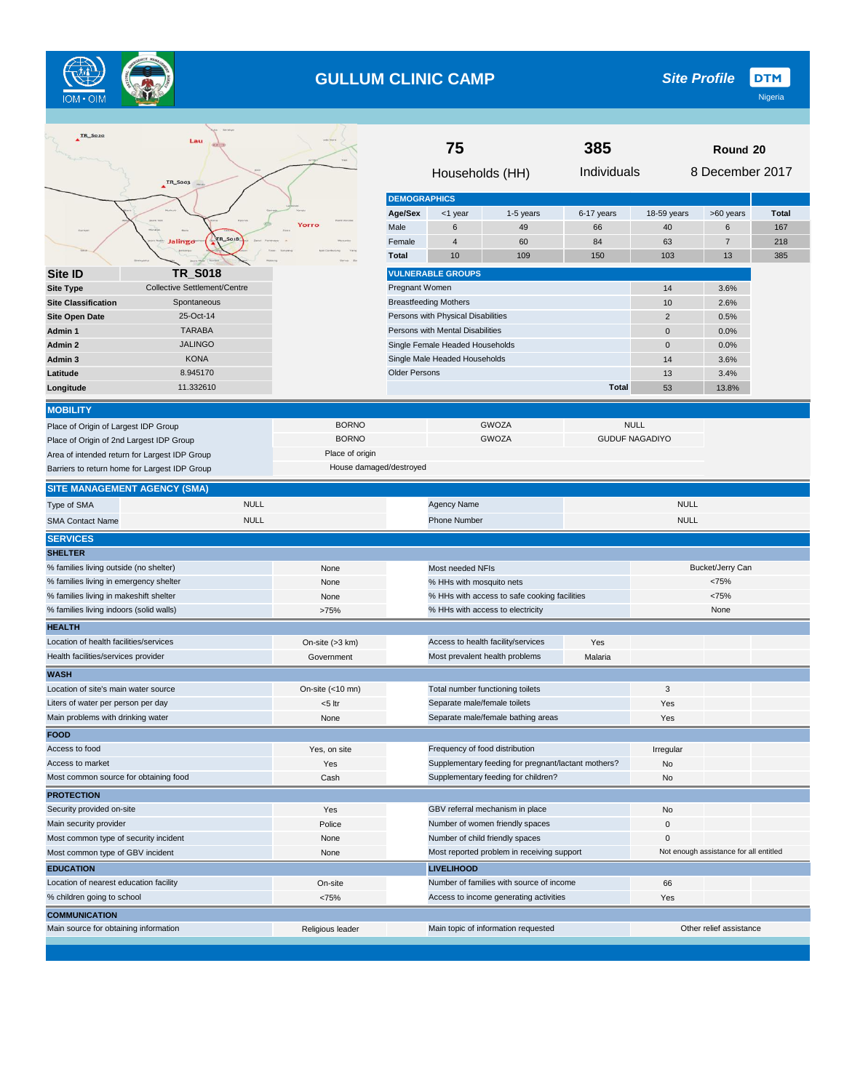

# **GULLUM CLINIC CAMP**

**DTM** *Site Profile*

| Individuals<br>8 December 2017<br>Households (HH)<br>TR_S003<br><b>DEMOGRAPHICS</b><br>Age/Sex<br>18-59 years<br>>60 years<br><b>Total</b><br><1 year<br>1-5 years<br>6-17 years<br>Yorro<br>49<br>Male<br>6<br>66<br>40<br>6<br>167<br><b>So18</b><br>Jalingo<br>Female<br>$\overline{4}$<br>60<br>84<br>63<br>7<br>218<br><b>Total</b><br>10<br>109<br>150<br>103<br>13<br>385<br><b>TR_S018</b><br><b>VULNERABLE GROUPS</b><br>Site <b>ID</b><br><b>Collective Settlement/Centre</b><br>Pregnant Women<br><b>Site Type</b><br>14<br>3.6%<br><b>Breastfeeding Mothers</b><br><b>Site Classification</b><br>Spontaneous<br>10<br>2.6%<br>Persons with Physical Disabilities<br>25-Oct-14<br>$\overline{2}$<br><b>Site Open Date</b><br>0.5%<br><b>TARABA</b><br>Persons with Mental Disabilities<br>$\pmb{0}$<br>0.0%<br>Admin 1<br><b>JALINGO</b><br>$\overline{0}$<br>0.0%<br>Admin 2<br>Single Female Headed Households<br><b>KONA</b><br>Single Male Headed Households<br>Admin 3<br>14<br>3.6%<br>8.945170<br><b>Older Persons</b><br>13<br>Latitude<br>3.4%<br>11.332610<br><b>Total</b><br>53<br>Longitude<br>13.8%<br><b>MOBILITY</b><br><b>BORNO</b><br><b>GWOZA</b><br><b>NULL</b><br>Place of Origin of Largest IDP Group<br><b>BORNO</b><br><b>GUDUF NAGADIYO</b><br><b>GWOZA</b><br>Place of Origin of 2nd Largest IDP Group<br>Place of origin<br>Area of intended return for Largest IDP Group<br>House damaged/destroyed<br>Barriers to return home for Largest IDP Group<br><b>SITE MANAGEMENT AGENCY (SMA)</b><br><b>NULL</b><br><b>NULL</b><br>Agency Name<br>Type of SMA<br><b>NULL</b><br><b>NULL</b><br><b>Phone Number</b><br><b>SMA Contact Name</b><br><b>SERVICES</b><br><b>SHELTER</b><br>% families living outside (no shelter)<br>Bucket/Jerry Can<br>Most needed NFIs<br>None<br>% families living in emergency shelter<br><75%<br>None<br>% HHs with mosquito nets<br>% families living in makeshift shelter<br>% HHs with access to safe cooking facilities<br><75%<br>None<br>% families living indoors (solid walls)<br>% HHs with access to electricity<br>>75%<br>None<br><b>HEALTH</b><br>Location of health facilities/services<br>Access to health facility/services<br>On-site (>3 km)<br>Yes<br>Health facilities/services provider<br>Most prevalent health problems<br>Government<br>Malaria<br><b>WASH</b><br>3<br>Location of site's main water source<br>On-site (<10 mn)<br>Total number functioning toilets<br>Separate male/female toilets<br>Liters of water per person per day<br><5 ltr<br>Yes<br>Main problems with drinking water<br>Separate male/female bathing areas<br>Yes<br>None<br><b>FOOD</b><br>Access to food<br>Frequency of food distribution<br>Yes, on site<br>Irregular<br>Supplementary feeding for pregnant/lactant mothers?<br>Access to market<br>Yes<br>No<br>Most common source for obtaining food<br>Supplementary feeding for children?<br>Cash<br>No<br><b>PROTECTION</b><br>Security provided on-site<br>GBV referral mechanism in place<br>Yes<br>No<br>Main security provider<br>Number of women friendly spaces<br>Police<br>0<br>Number of child friendly spaces<br>Most common type of security incident<br>None<br>$\mathbf 0$<br>Most reported problem in receiving support<br>Not enough assistance for all entitled<br>Most common type of GBV incident<br>None<br><b>EDUCATION</b><br><b>LIVELIHOOD</b><br>Location of nearest education facility<br>Number of families with source of income<br>On-site<br>66<br>% children going to school<br>Access to income generating activities<br><75%<br>Yes<br><b>COMMUNICATION</b><br>Main source for obtaining information<br>Main topic of information requested<br>Other relief assistance<br>Religious leader | IR_SO20 | Lau |  | 75 |  | Round 20 |  |  |  |
|--------------------------------------------------------------------------------------------------------------------------------------------------------------------------------------------------------------------------------------------------------------------------------------------------------------------------------------------------------------------------------------------------------------------------------------------------------------------------------------------------------------------------------------------------------------------------------------------------------------------------------------------------------------------------------------------------------------------------------------------------------------------------------------------------------------------------------------------------------------------------------------------------------------------------------------------------------------------------------------------------------------------------------------------------------------------------------------------------------------------------------------------------------------------------------------------------------------------------------------------------------------------------------------------------------------------------------------------------------------------------------------------------------------------------------------------------------------------------------------------------------------------------------------------------------------------------------------------------------------------------------------------------------------------------------------------------------------------------------------------------------------------------------------------------------------------------------------------------------------------------------------------------------------------------------------------------------------------------------------------------------------------------------------------------------------------------------------------------------------------------------------------------------------------------------------------------------------------------------------------------------------------------------------------------------------------------------------------------------------------------------------------------------------------------------------------------------------------------------------------------------------------------------------------------------------------------------------------------------------------------------------------------------------------------------------------------------------------------------------------------------------------------------------------------------------------------------------------------------------------------------------------------------------------------------------------------------------------------------------------------------------------------------------------------------------------------------------------------------------------------------------------------------------------------------------------------------------------------------------------------------------------------------------------------------------------------------------------------------------------------------------------------------------------------------------------------------------------------------------------------------------------------------------------------------------------------------------------------------------------------------------------------------------------------------------------------------------------------------------------------------|---------|-----|--|----|--|----------|--|--|--|
|                                                                                                                                                                                                                                                                                                                                                                                                                                                                                                                                                                                                                                                                                                                                                                                                                                                                                                                                                                                                                                                                                                                                                                                                                                                                                                                                                                                                                                                                                                                                                                                                                                                                                                                                                                                                                                                                                                                                                                                                                                                                                                                                                                                                                                                                                                                                                                                                                                                                                                                                                                                                                                                                                                                                                                                                                                                                                                                                                                                                                                                                                                                                                                                                                                                                                                                                                                                                                                                                                                                                                                                                                                                                                                                                                        |         |     |  |    |  |          |  |  |  |
|                                                                                                                                                                                                                                                                                                                                                                                                                                                                                                                                                                                                                                                                                                                                                                                                                                                                                                                                                                                                                                                                                                                                                                                                                                                                                                                                                                                                                                                                                                                                                                                                                                                                                                                                                                                                                                                                                                                                                                                                                                                                                                                                                                                                                                                                                                                                                                                                                                                                                                                                                                                                                                                                                                                                                                                                                                                                                                                                                                                                                                                                                                                                                                                                                                                                                                                                                                                                                                                                                                                                                                                                                                                                                                                                                        |         |     |  |    |  |          |  |  |  |
|                                                                                                                                                                                                                                                                                                                                                                                                                                                                                                                                                                                                                                                                                                                                                                                                                                                                                                                                                                                                                                                                                                                                                                                                                                                                                                                                                                                                                                                                                                                                                                                                                                                                                                                                                                                                                                                                                                                                                                                                                                                                                                                                                                                                                                                                                                                                                                                                                                                                                                                                                                                                                                                                                                                                                                                                                                                                                                                                                                                                                                                                                                                                                                                                                                                                                                                                                                                                                                                                                                                                                                                                                                                                                                                                                        |         |     |  |    |  |          |  |  |  |
|                                                                                                                                                                                                                                                                                                                                                                                                                                                                                                                                                                                                                                                                                                                                                                                                                                                                                                                                                                                                                                                                                                                                                                                                                                                                                                                                                                                                                                                                                                                                                                                                                                                                                                                                                                                                                                                                                                                                                                                                                                                                                                                                                                                                                                                                                                                                                                                                                                                                                                                                                                                                                                                                                                                                                                                                                                                                                                                                                                                                                                                                                                                                                                                                                                                                                                                                                                                                                                                                                                                                                                                                                                                                                                                                                        |         |     |  |    |  |          |  |  |  |
|                                                                                                                                                                                                                                                                                                                                                                                                                                                                                                                                                                                                                                                                                                                                                                                                                                                                                                                                                                                                                                                                                                                                                                                                                                                                                                                                                                                                                                                                                                                                                                                                                                                                                                                                                                                                                                                                                                                                                                                                                                                                                                                                                                                                                                                                                                                                                                                                                                                                                                                                                                                                                                                                                                                                                                                                                                                                                                                                                                                                                                                                                                                                                                                                                                                                                                                                                                                                                                                                                                                                                                                                                                                                                                                                                        |         |     |  |    |  |          |  |  |  |
|                                                                                                                                                                                                                                                                                                                                                                                                                                                                                                                                                                                                                                                                                                                                                                                                                                                                                                                                                                                                                                                                                                                                                                                                                                                                                                                                                                                                                                                                                                                                                                                                                                                                                                                                                                                                                                                                                                                                                                                                                                                                                                                                                                                                                                                                                                                                                                                                                                                                                                                                                                                                                                                                                                                                                                                                                                                                                                                                                                                                                                                                                                                                                                                                                                                                                                                                                                                                                                                                                                                                                                                                                                                                                                                                                        |         |     |  |    |  |          |  |  |  |
|                                                                                                                                                                                                                                                                                                                                                                                                                                                                                                                                                                                                                                                                                                                                                                                                                                                                                                                                                                                                                                                                                                                                                                                                                                                                                                                                                                                                                                                                                                                                                                                                                                                                                                                                                                                                                                                                                                                                                                                                                                                                                                                                                                                                                                                                                                                                                                                                                                                                                                                                                                                                                                                                                                                                                                                                                                                                                                                                                                                                                                                                                                                                                                                                                                                                                                                                                                                                                                                                                                                                                                                                                                                                                                                                                        |         |     |  |    |  |          |  |  |  |
|                                                                                                                                                                                                                                                                                                                                                                                                                                                                                                                                                                                                                                                                                                                                                                                                                                                                                                                                                                                                                                                                                                                                                                                                                                                                                                                                                                                                                                                                                                                                                                                                                                                                                                                                                                                                                                                                                                                                                                                                                                                                                                                                                                                                                                                                                                                                                                                                                                                                                                                                                                                                                                                                                                                                                                                                                                                                                                                                                                                                                                                                                                                                                                                                                                                                                                                                                                                                                                                                                                                                                                                                                                                                                                                                                        |         |     |  |    |  |          |  |  |  |
|                                                                                                                                                                                                                                                                                                                                                                                                                                                                                                                                                                                                                                                                                                                                                                                                                                                                                                                                                                                                                                                                                                                                                                                                                                                                                                                                                                                                                                                                                                                                                                                                                                                                                                                                                                                                                                                                                                                                                                                                                                                                                                                                                                                                                                                                                                                                                                                                                                                                                                                                                                                                                                                                                                                                                                                                                                                                                                                                                                                                                                                                                                                                                                                                                                                                                                                                                                                                                                                                                                                                                                                                                                                                                                                                                        |         |     |  |    |  |          |  |  |  |
|                                                                                                                                                                                                                                                                                                                                                                                                                                                                                                                                                                                                                                                                                                                                                                                                                                                                                                                                                                                                                                                                                                                                                                                                                                                                                                                                                                                                                                                                                                                                                                                                                                                                                                                                                                                                                                                                                                                                                                                                                                                                                                                                                                                                                                                                                                                                                                                                                                                                                                                                                                                                                                                                                                                                                                                                                                                                                                                                                                                                                                                                                                                                                                                                                                                                                                                                                                                                                                                                                                                                                                                                                                                                                                                                                        |         |     |  |    |  |          |  |  |  |
|                                                                                                                                                                                                                                                                                                                                                                                                                                                                                                                                                                                                                                                                                                                                                                                                                                                                                                                                                                                                                                                                                                                                                                                                                                                                                                                                                                                                                                                                                                                                                                                                                                                                                                                                                                                                                                                                                                                                                                                                                                                                                                                                                                                                                                                                                                                                                                                                                                                                                                                                                                                                                                                                                                                                                                                                                                                                                                                                                                                                                                                                                                                                                                                                                                                                                                                                                                                                                                                                                                                                                                                                                                                                                                                                                        |         |     |  |    |  |          |  |  |  |
|                                                                                                                                                                                                                                                                                                                                                                                                                                                                                                                                                                                                                                                                                                                                                                                                                                                                                                                                                                                                                                                                                                                                                                                                                                                                                                                                                                                                                                                                                                                                                                                                                                                                                                                                                                                                                                                                                                                                                                                                                                                                                                                                                                                                                                                                                                                                                                                                                                                                                                                                                                                                                                                                                                                                                                                                                                                                                                                                                                                                                                                                                                                                                                                                                                                                                                                                                                                                                                                                                                                                                                                                                                                                                                                                                        |         |     |  |    |  |          |  |  |  |
|                                                                                                                                                                                                                                                                                                                                                                                                                                                                                                                                                                                                                                                                                                                                                                                                                                                                                                                                                                                                                                                                                                                                                                                                                                                                                                                                                                                                                                                                                                                                                                                                                                                                                                                                                                                                                                                                                                                                                                                                                                                                                                                                                                                                                                                                                                                                                                                                                                                                                                                                                                                                                                                                                                                                                                                                                                                                                                                                                                                                                                                                                                                                                                                                                                                                                                                                                                                                                                                                                                                                                                                                                                                                                                                                                        |         |     |  |    |  |          |  |  |  |
|                                                                                                                                                                                                                                                                                                                                                                                                                                                                                                                                                                                                                                                                                                                                                                                                                                                                                                                                                                                                                                                                                                                                                                                                                                                                                                                                                                                                                                                                                                                                                                                                                                                                                                                                                                                                                                                                                                                                                                                                                                                                                                                                                                                                                                                                                                                                                                                                                                                                                                                                                                                                                                                                                                                                                                                                                                                                                                                                                                                                                                                                                                                                                                                                                                                                                                                                                                                                                                                                                                                                                                                                                                                                                                                                                        |         |     |  |    |  |          |  |  |  |
|                                                                                                                                                                                                                                                                                                                                                                                                                                                                                                                                                                                                                                                                                                                                                                                                                                                                                                                                                                                                                                                                                                                                                                                                                                                                                                                                                                                                                                                                                                                                                                                                                                                                                                                                                                                                                                                                                                                                                                                                                                                                                                                                                                                                                                                                                                                                                                                                                                                                                                                                                                                                                                                                                                                                                                                                                                                                                                                                                                                                                                                                                                                                                                                                                                                                                                                                                                                                                                                                                                                                                                                                                                                                                                                                                        |         |     |  |    |  |          |  |  |  |
|                                                                                                                                                                                                                                                                                                                                                                                                                                                                                                                                                                                                                                                                                                                                                                                                                                                                                                                                                                                                                                                                                                                                                                                                                                                                                                                                                                                                                                                                                                                                                                                                                                                                                                                                                                                                                                                                                                                                                                                                                                                                                                                                                                                                                                                                                                                                                                                                                                                                                                                                                                                                                                                                                                                                                                                                                                                                                                                                                                                                                                                                                                                                                                                                                                                                                                                                                                                                                                                                                                                                                                                                                                                                                                                                                        |         |     |  |    |  |          |  |  |  |
|                                                                                                                                                                                                                                                                                                                                                                                                                                                                                                                                                                                                                                                                                                                                                                                                                                                                                                                                                                                                                                                                                                                                                                                                                                                                                                                                                                                                                                                                                                                                                                                                                                                                                                                                                                                                                                                                                                                                                                                                                                                                                                                                                                                                                                                                                                                                                                                                                                                                                                                                                                                                                                                                                                                                                                                                                                                                                                                                                                                                                                                                                                                                                                                                                                                                                                                                                                                                                                                                                                                                                                                                                                                                                                                                                        |         |     |  |    |  |          |  |  |  |
|                                                                                                                                                                                                                                                                                                                                                                                                                                                                                                                                                                                                                                                                                                                                                                                                                                                                                                                                                                                                                                                                                                                                                                                                                                                                                                                                                                                                                                                                                                                                                                                                                                                                                                                                                                                                                                                                                                                                                                                                                                                                                                                                                                                                                                                                                                                                                                                                                                                                                                                                                                                                                                                                                                                                                                                                                                                                                                                                                                                                                                                                                                                                                                                                                                                                                                                                                                                                                                                                                                                                                                                                                                                                                                                                                        |         |     |  |    |  |          |  |  |  |
|                                                                                                                                                                                                                                                                                                                                                                                                                                                                                                                                                                                                                                                                                                                                                                                                                                                                                                                                                                                                                                                                                                                                                                                                                                                                                                                                                                                                                                                                                                                                                                                                                                                                                                                                                                                                                                                                                                                                                                                                                                                                                                                                                                                                                                                                                                                                                                                                                                                                                                                                                                                                                                                                                                                                                                                                                                                                                                                                                                                                                                                                                                                                                                                                                                                                                                                                                                                                                                                                                                                                                                                                                                                                                                                                                        |         |     |  |    |  |          |  |  |  |
|                                                                                                                                                                                                                                                                                                                                                                                                                                                                                                                                                                                                                                                                                                                                                                                                                                                                                                                                                                                                                                                                                                                                                                                                                                                                                                                                                                                                                                                                                                                                                                                                                                                                                                                                                                                                                                                                                                                                                                                                                                                                                                                                                                                                                                                                                                                                                                                                                                                                                                                                                                                                                                                                                                                                                                                                                                                                                                                                                                                                                                                                                                                                                                                                                                                                                                                                                                                                                                                                                                                                                                                                                                                                                                                                                        |         |     |  |    |  |          |  |  |  |
|                                                                                                                                                                                                                                                                                                                                                                                                                                                                                                                                                                                                                                                                                                                                                                                                                                                                                                                                                                                                                                                                                                                                                                                                                                                                                                                                                                                                                                                                                                                                                                                                                                                                                                                                                                                                                                                                                                                                                                                                                                                                                                                                                                                                                                                                                                                                                                                                                                                                                                                                                                                                                                                                                                                                                                                                                                                                                                                                                                                                                                                                                                                                                                                                                                                                                                                                                                                                                                                                                                                                                                                                                                                                                                                                                        |         |     |  |    |  |          |  |  |  |
|                                                                                                                                                                                                                                                                                                                                                                                                                                                                                                                                                                                                                                                                                                                                                                                                                                                                                                                                                                                                                                                                                                                                                                                                                                                                                                                                                                                                                                                                                                                                                                                                                                                                                                                                                                                                                                                                                                                                                                                                                                                                                                                                                                                                                                                                                                                                                                                                                                                                                                                                                                                                                                                                                                                                                                                                                                                                                                                                                                                                                                                                                                                                                                                                                                                                                                                                                                                                                                                                                                                                                                                                                                                                                                                                                        |         |     |  |    |  |          |  |  |  |
|                                                                                                                                                                                                                                                                                                                                                                                                                                                                                                                                                                                                                                                                                                                                                                                                                                                                                                                                                                                                                                                                                                                                                                                                                                                                                                                                                                                                                                                                                                                                                                                                                                                                                                                                                                                                                                                                                                                                                                                                                                                                                                                                                                                                                                                                                                                                                                                                                                                                                                                                                                                                                                                                                                                                                                                                                                                                                                                                                                                                                                                                                                                                                                                                                                                                                                                                                                                                                                                                                                                                                                                                                                                                                                                                                        |         |     |  |    |  |          |  |  |  |
|                                                                                                                                                                                                                                                                                                                                                                                                                                                                                                                                                                                                                                                                                                                                                                                                                                                                                                                                                                                                                                                                                                                                                                                                                                                                                                                                                                                                                                                                                                                                                                                                                                                                                                                                                                                                                                                                                                                                                                                                                                                                                                                                                                                                                                                                                                                                                                                                                                                                                                                                                                                                                                                                                                                                                                                                                                                                                                                                                                                                                                                                                                                                                                                                                                                                                                                                                                                                                                                                                                                                                                                                                                                                                                                                                        |         |     |  |    |  |          |  |  |  |
|                                                                                                                                                                                                                                                                                                                                                                                                                                                                                                                                                                                                                                                                                                                                                                                                                                                                                                                                                                                                                                                                                                                                                                                                                                                                                                                                                                                                                                                                                                                                                                                                                                                                                                                                                                                                                                                                                                                                                                                                                                                                                                                                                                                                                                                                                                                                                                                                                                                                                                                                                                                                                                                                                                                                                                                                                                                                                                                                                                                                                                                                                                                                                                                                                                                                                                                                                                                                                                                                                                                                                                                                                                                                                                                                                        |         |     |  |    |  |          |  |  |  |
|                                                                                                                                                                                                                                                                                                                                                                                                                                                                                                                                                                                                                                                                                                                                                                                                                                                                                                                                                                                                                                                                                                                                                                                                                                                                                                                                                                                                                                                                                                                                                                                                                                                                                                                                                                                                                                                                                                                                                                                                                                                                                                                                                                                                                                                                                                                                                                                                                                                                                                                                                                                                                                                                                                                                                                                                                                                                                                                                                                                                                                                                                                                                                                                                                                                                                                                                                                                                                                                                                                                                                                                                                                                                                                                                                        |         |     |  |    |  |          |  |  |  |
|                                                                                                                                                                                                                                                                                                                                                                                                                                                                                                                                                                                                                                                                                                                                                                                                                                                                                                                                                                                                                                                                                                                                                                                                                                                                                                                                                                                                                                                                                                                                                                                                                                                                                                                                                                                                                                                                                                                                                                                                                                                                                                                                                                                                                                                                                                                                                                                                                                                                                                                                                                                                                                                                                                                                                                                                                                                                                                                                                                                                                                                                                                                                                                                                                                                                                                                                                                                                                                                                                                                                                                                                                                                                                                                                                        |         |     |  |    |  |          |  |  |  |
|                                                                                                                                                                                                                                                                                                                                                                                                                                                                                                                                                                                                                                                                                                                                                                                                                                                                                                                                                                                                                                                                                                                                                                                                                                                                                                                                                                                                                                                                                                                                                                                                                                                                                                                                                                                                                                                                                                                                                                                                                                                                                                                                                                                                                                                                                                                                                                                                                                                                                                                                                                                                                                                                                                                                                                                                                                                                                                                                                                                                                                                                                                                                                                                                                                                                                                                                                                                                                                                                                                                                                                                                                                                                                                                                                        |         |     |  |    |  |          |  |  |  |
|                                                                                                                                                                                                                                                                                                                                                                                                                                                                                                                                                                                                                                                                                                                                                                                                                                                                                                                                                                                                                                                                                                                                                                                                                                                                                                                                                                                                                                                                                                                                                                                                                                                                                                                                                                                                                                                                                                                                                                                                                                                                                                                                                                                                                                                                                                                                                                                                                                                                                                                                                                                                                                                                                                                                                                                                                                                                                                                                                                                                                                                                                                                                                                                                                                                                                                                                                                                                                                                                                                                                                                                                                                                                                                                                                        |         |     |  |    |  |          |  |  |  |
|                                                                                                                                                                                                                                                                                                                                                                                                                                                                                                                                                                                                                                                                                                                                                                                                                                                                                                                                                                                                                                                                                                                                                                                                                                                                                                                                                                                                                                                                                                                                                                                                                                                                                                                                                                                                                                                                                                                                                                                                                                                                                                                                                                                                                                                                                                                                                                                                                                                                                                                                                                                                                                                                                                                                                                                                                                                                                                                                                                                                                                                                                                                                                                                                                                                                                                                                                                                                                                                                                                                                                                                                                                                                                                                                                        |         |     |  |    |  |          |  |  |  |
|                                                                                                                                                                                                                                                                                                                                                                                                                                                                                                                                                                                                                                                                                                                                                                                                                                                                                                                                                                                                                                                                                                                                                                                                                                                                                                                                                                                                                                                                                                                                                                                                                                                                                                                                                                                                                                                                                                                                                                                                                                                                                                                                                                                                                                                                                                                                                                                                                                                                                                                                                                                                                                                                                                                                                                                                                                                                                                                                                                                                                                                                                                                                                                                                                                                                                                                                                                                                                                                                                                                                                                                                                                                                                                                                                        |         |     |  |    |  |          |  |  |  |
|                                                                                                                                                                                                                                                                                                                                                                                                                                                                                                                                                                                                                                                                                                                                                                                                                                                                                                                                                                                                                                                                                                                                                                                                                                                                                                                                                                                                                                                                                                                                                                                                                                                                                                                                                                                                                                                                                                                                                                                                                                                                                                                                                                                                                                                                                                                                                                                                                                                                                                                                                                                                                                                                                                                                                                                                                                                                                                                                                                                                                                                                                                                                                                                                                                                                                                                                                                                                                                                                                                                                                                                                                                                                                                                                                        |         |     |  |    |  |          |  |  |  |
|                                                                                                                                                                                                                                                                                                                                                                                                                                                                                                                                                                                                                                                                                                                                                                                                                                                                                                                                                                                                                                                                                                                                                                                                                                                                                                                                                                                                                                                                                                                                                                                                                                                                                                                                                                                                                                                                                                                                                                                                                                                                                                                                                                                                                                                                                                                                                                                                                                                                                                                                                                                                                                                                                                                                                                                                                                                                                                                                                                                                                                                                                                                                                                                                                                                                                                                                                                                                                                                                                                                                                                                                                                                                                                                                                        |         |     |  |    |  |          |  |  |  |
|                                                                                                                                                                                                                                                                                                                                                                                                                                                                                                                                                                                                                                                                                                                                                                                                                                                                                                                                                                                                                                                                                                                                                                                                                                                                                                                                                                                                                                                                                                                                                                                                                                                                                                                                                                                                                                                                                                                                                                                                                                                                                                                                                                                                                                                                                                                                                                                                                                                                                                                                                                                                                                                                                                                                                                                                                                                                                                                                                                                                                                                                                                                                                                                                                                                                                                                                                                                                                                                                                                                                                                                                                                                                                                                                                        |         |     |  |    |  |          |  |  |  |
|                                                                                                                                                                                                                                                                                                                                                                                                                                                                                                                                                                                                                                                                                                                                                                                                                                                                                                                                                                                                                                                                                                                                                                                                                                                                                                                                                                                                                                                                                                                                                                                                                                                                                                                                                                                                                                                                                                                                                                                                                                                                                                                                                                                                                                                                                                                                                                                                                                                                                                                                                                                                                                                                                                                                                                                                                                                                                                                                                                                                                                                                                                                                                                                                                                                                                                                                                                                                                                                                                                                                                                                                                                                                                                                                                        |         |     |  |    |  |          |  |  |  |
|                                                                                                                                                                                                                                                                                                                                                                                                                                                                                                                                                                                                                                                                                                                                                                                                                                                                                                                                                                                                                                                                                                                                                                                                                                                                                                                                                                                                                                                                                                                                                                                                                                                                                                                                                                                                                                                                                                                                                                                                                                                                                                                                                                                                                                                                                                                                                                                                                                                                                                                                                                                                                                                                                                                                                                                                                                                                                                                                                                                                                                                                                                                                                                                                                                                                                                                                                                                                                                                                                                                                                                                                                                                                                                                                                        |         |     |  |    |  |          |  |  |  |
|                                                                                                                                                                                                                                                                                                                                                                                                                                                                                                                                                                                                                                                                                                                                                                                                                                                                                                                                                                                                                                                                                                                                                                                                                                                                                                                                                                                                                                                                                                                                                                                                                                                                                                                                                                                                                                                                                                                                                                                                                                                                                                                                                                                                                                                                                                                                                                                                                                                                                                                                                                                                                                                                                                                                                                                                                                                                                                                                                                                                                                                                                                                                                                                                                                                                                                                                                                                                                                                                                                                                                                                                                                                                                                                                                        |         |     |  |    |  |          |  |  |  |
|                                                                                                                                                                                                                                                                                                                                                                                                                                                                                                                                                                                                                                                                                                                                                                                                                                                                                                                                                                                                                                                                                                                                                                                                                                                                                                                                                                                                                                                                                                                                                                                                                                                                                                                                                                                                                                                                                                                                                                                                                                                                                                                                                                                                                                                                                                                                                                                                                                                                                                                                                                                                                                                                                                                                                                                                                                                                                                                                                                                                                                                                                                                                                                                                                                                                                                                                                                                                                                                                                                                                                                                                                                                                                                                                                        |         |     |  |    |  |          |  |  |  |
|                                                                                                                                                                                                                                                                                                                                                                                                                                                                                                                                                                                                                                                                                                                                                                                                                                                                                                                                                                                                                                                                                                                                                                                                                                                                                                                                                                                                                                                                                                                                                                                                                                                                                                                                                                                                                                                                                                                                                                                                                                                                                                                                                                                                                                                                                                                                                                                                                                                                                                                                                                                                                                                                                                                                                                                                                                                                                                                                                                                                                                                                                                                                                                                                                                                                                                                                                                                                                                                                                                                                                                                                                                                                                                                                                        |         |     |  |    |  |          |  |  |  |
|                                                                                                                                                                                                                                                                                                                                                                                                                                                                                                                                                                                                                                                                                                                                                                                                                                                                                                                                                                                                                                                                                                                                                                                                                                                                                                                                                                                                                                                                                                                                                                                                                                                                                                                                                                                                                                                                                                                                                                                                                                                                                                                                                                                                                                                                                                                                                                                                                                                                                                                                                                                                                                                                                                                                                                                                                                                                                                                                                                                                                                                                                                                                                                                                                                                                                                                                                                                                                                                                                                                                                                                                                                                                                                                                                        |         |     |  |    |  |          |  |  |  |
|                                                                                                                                                                                                                                                                                                                                                                                                                                                                                                                                                                                                                                                                                                                                                                                                                                                                                                                                                                                                                                                                                                                                                                                                                                                                                                                                                                                                                                                                                                                                                                                                                                                                                                                                                                                                                                                                                                                                                                                                                                                                                                                                                                                                                                                                                                                                                                                                                                                                                                                                                                                                                                                                                                                                                                                                                                                                                                                                                                                                                                                                                                                                                                                                                                                                                                                                                                                                                                                                                                                                                                                                                                                                                                                                                        |         |     |  |    |  |          |  |  |  |
|                                                                                                                                                                                                                                                                                                                                                                                                                                                                                                                                                                                                                                                                                                                                                                                                                                                                                                                                                                                                                                                                                                                                                                                                                                                                                                                                                                                                                                                                                                                                                                                                                                                                                                                                                                                                                                                                                                                                                                                                                                                                                                                                                                                                                                                                                                                                                                                                                                                                                                                                                                                                                                                                                                                                                                                                                                                                                                                                                                                                                                                                                                                                                                                                                                                                                                                                                                                                                                                                                                                                                                                                                                                                                                                                                        |         |     |  |    |  |          |  |  |  |
|                                                                                                                                                                                                                                                                                                                                                                                                                                                                                                                                                                                                                                                                                                                                                                                                                                                                                                                                                                                                                                                                                                                                                                                                                                                                                                                                                                                                                                                                                                                                                                                                                                                                                                                                                                                                                                                                                                                                                                                                                                                                                                                                                                                                                                                                                                                                                                                                                                                                                                                                                                                                                                                                                                                                                                                                                                                                                                                                                                                                                                                                                                                                                                                                                                                                                                                                                                                                                                                                                                                                                                                                                                                                                                                                                        |         |     |  |    |  |          |  |  |  |
|                                                                                                                                                                                                                                                                                                                                                                                                                                                                                                                                                                                                                                                                                                                                                                                                                                                                                                                                                                                                                                                                                                                                                                                                                                                                                                                                                                                                                                                                                                                                                                                                                                                                                                                                                                                                                                                                                                                                                                                                                                                                                                                                                                                                                                                                                                                                                                                                                                                                                                                                                                                                                                                                                                                                                                                                                                                                                                                                                                                                                                                                                                                                                                                                                                                                                                                                                                                                                                                                                                                                                                                                                                                                                                                                                        |         |     |  |    |  |          |  |  |  |
|                                                                                                                                                                                                                                                                                                                                                                                                                                                                                                                                                                                                                                                                                                                                                                                                                                                                                                                                                                                                                                                                                                                                                                                                                                                                                                                                                                                                                                                                                                                                                                                                                                                                                                                                                                                                                                                                                                                                                                                                                                                                                                                                                                                                                                                                                                                                                                                                                                                                                                                                                                                                                                                                                                                                                                                                                                                                                                                                                                                                                                                                                                                                                                                                                                                                                                                                                                                                                                                                                                                                                                                                                                                                                                                                                        |         |     |  |    |  |          |  |  |  |
|                                                                                                                                                                                                                                                                                                                                                                                                                                                                                                                                                                                                                                                                                                                                                                                                                                                                                                                                                                                                                                                                                                                                                                                                                                                                                                                                                                                                                                                                                                                                                                                                                                                                                                                                                                                                                                                                                                                                                                                                                                                                                                                                                                                                                                                                                                                                                                                                                                                                                                                                                                                                                                                                                                                                                                                                                                                                                                                                                                                                                                                                                                                                                                                                                                                                                                                                                                                                                                                                                                                                                                                                                                                                                                                                                        |         |     |  |    |  |          |  |  |  |
|                                                                                                                                                                                                                                                                                                                                                                                                                                                                                                                                                                                                                                                                                                                                                                                                                                                                                                                                                                                                                                                                                                                                                                                                                                                                                                                                                                                                                                                                                                                                                                                                                                                                                                                                                                                                                                                                                                                                                                                                                                                                                                                                                                                                                                                                                                                                                                                                                                                                                                                                                                                                                                                                                                                                                                                                                                                                                                                                                                                                                                                                                                                                                                                                                                                                                                                                                                                                                                                                                                                                                                                                                                                                                                                                                        |         |     |  |    |  |          |  |  |  |
|                                                                                                                                                                                                                                                                                                                                                                                                                                                                                                                                                                                                                                                                                                                                                                                                                                                                                                                                                                                                                                                                                                                                                                                                                                                                                                                                                                                                                                                                                                                                                                                                                                                                                                                                                                                                                                                                                                                                                                                                                                                                                                                                                                                                                                                                                                                                                                                                                                                                                                                                                                                                                                                                                                                                                                                                                                                                                                                                                                                                                                                                                                                                                                                                                                                                                                                                                                                                                                                                                                                                                                                                                                                                                                                                                        |         |     |  |    |  |          |  |  |  |
|                                                                                                                                                                                                                                                                                                                                                                                                                                                                                                                                                                                                                                                                                                                                                                                                                                                                                                                                                                                                                                                                                                                                                                                                                                                                                                                                                                                                                                                                                                                                                                                                                                                                                                                                                                                                                                                                                                                                                                                                                                                                                                                                                                                                                                                                                                                                                                                                                                                                                                                                                                                                                                                                                                                                                                                                                                                                                                                                                                                                                                                                                                                                                                                                                                                                                                                                                                                                                                                                                                                                                                                                                                                                                                                                                        |         |     |  |    |  |          |  |  |  |
|                                                                                                                                                                                                                                                                                                                                                                                                                                                                                                                                                                                                                                                                                                                                                                                                                                                                                                                                                                                                                                                                                                                                                                                                                                                                                                                                                                                                                                                                                                                                                                                                                                                                                                                                                                                                                                                                                                                                                                                                                                                                                                                                                                                                                                                                                                                                                                                                                                                                                                                                                                                                                                                                                                                                                                                                                                                                                                                                                                                                                                                                                                                                                                                                                                                                                                                                                                                                                                                                                                                                                                                                                                                                                                                                                        |         |     |  |    |  |          |  |  |  |
|                                                                                                                                                                                                                                                                                                                                                                                                                                                                                                                                                                                                                                                                                                                                                                                                                                                                                                                                                                                                                                                                                                                                                                                                                                                                                                                                                                                                                                                                                                                                                                                                                                                                                                                                                                                                                                                                                                                                                                                                                                                                                                                                                                                                                                                                                                                                                                                                                                                                                                                                                                                                                                                                                                                                                                                                                                                                                                                                                                                                                                                                                                                                                                                                                                                                                                                                                                                                                                                                                                                                                                                                                                                                                                                                                        |         |     |  |    |  |          |  |  |  |
|                                                                                                                                                                                                                                                                                                                                                                                                                                                                                                                                                                                                                                                                                                                                                                                                                                                                                                                                                                                                                                                                                                                                                                                                                                                                                                                                                                                                                                                                                                                                                                                                                                                                                                                                                                                                                                                                                                                                                                                                                                                                                                                                                                                                                                                                                                                                                                                                                                                                                                                                                                                                                                                                                                                                                                                                                                                                                                                                                                                                                                                                                                                                                                                                                                                                                                                                                                                                                                                                                                                                                                                                                                                                                                                                                        |         |     |  |    |  |          |  |  |  |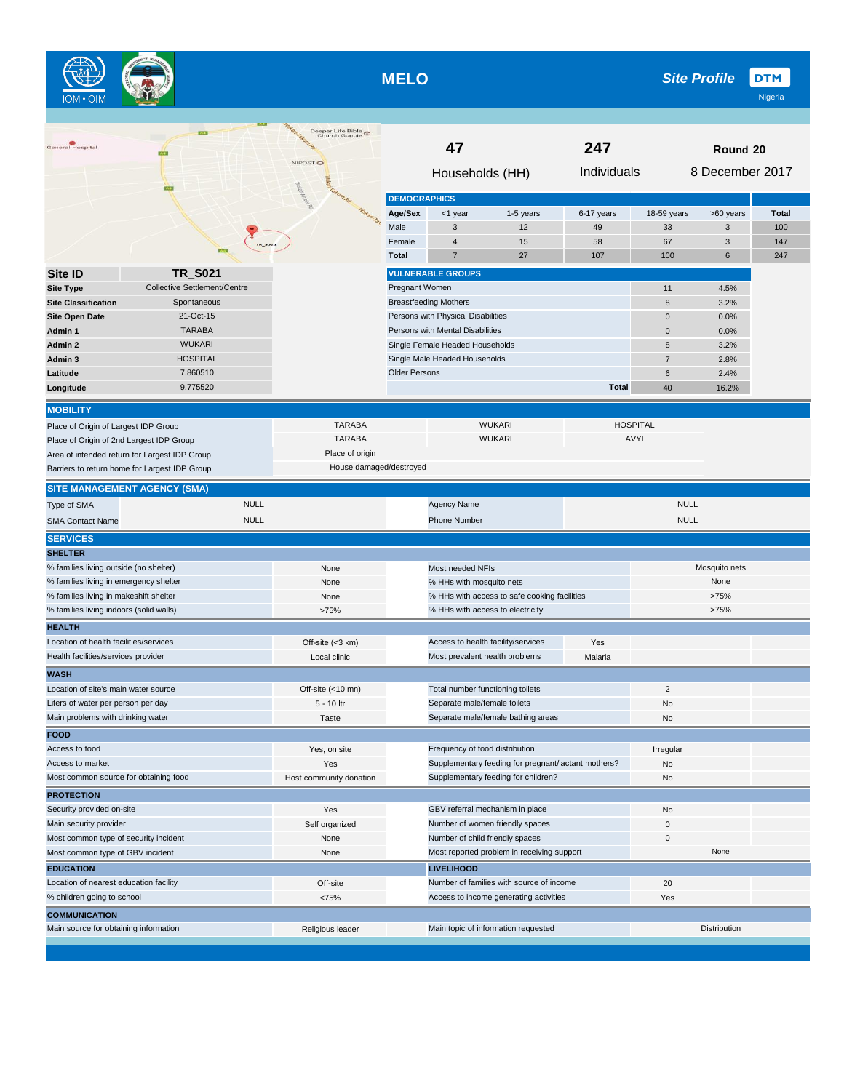**MELO**

 $\begin{picture}(120,10) \put(0,0){\line(1,0){10}} \put(15,0){\line(1,0){10}} \put(15,0){\line(1,0){10}} \put(15,0){\line(1,0){10}} \put(15,0){\line(1,0){10}} \put(15,0){\line(1,0){10}} \put(15,0){\line(1,0){10}} \put(15,0){\line(1,0){10}} \put(15,0){\line(1,0){10}} \put(15,0){\line(1,0){10}} \put(15,0){\line(1,0){10}} \put(15,0){\line($ 

| General Hospital                                                                          | <b>TAXES</b>                 | Deeper Life Bible<br>Church Gupuje<br>NIPOST <sup>O</sup> | 47<br>247                       |                                    |                                                     |              | Round 20        |                 |              |  |
|-------------------------------------------------------------------------------------------|------------------------------|-----------------------------------------------------------|---------------------------------|------------------------------------|-----------------------------------------------------|--------------|-----------------|-----------------|--------------|--|
|                                                                                           |                              | Notari Amerika                                            | <b>DEMOGRAPHICS</b>             | Households (HH)                    |                                                     | Individuals  |                 | 8 December 2017 |              |  |
|                                                                                           |                              | Wukati Tak                                                | Age/Sex                         | <1 year                            | 1-5 years                                           | 6-17 years   | 18-59 years     | >60 years       | <b>Total</b> |  |
|                                                                                           |                              |                                                           | Male                            | 3                                  | 12                                                  | 49           | 33              | 3               | 100          |  |
|                                                                                           | TR_5021                      |                                                           | Female                          | $\overline{4}$                     | 15                                                  | 58           | 67              | 3               | 147          |  |
|                                                                                           |                              |                                                           | <b>Total</b>                    | $\overline{7}$                     | 27                                                  | 107          | 100             | 6               | 247          |  |
| Site ID                                                                                   | <b>TR_S021</b>               |                                                           |                                 | <b>VULNERABLE GROUPS</b>           |                                                     |              |                 |                 |              |  |
| <b>Site Type</b>                                                                          | Collective Settlement/Centre |                                                           | Pregnant Women                  |                                    |                                                     |              | 11              | 4.5%            |              |  |
| <b>Site Classification</b>                                                                | Spontaneous                  |                                                           |                                 | <b>Breastfeeding Mothers</b>       |                                                     |              | 8               | 3.2%            |              |  |
| <b>Site Open Date</b>                                                                     | 21-Oct-15                    |                                                           |                                 | Persons with Physical Disabilities |                                                     |              | $\pmb{0}$       | 0.0%            |              |  |
| Admin 1                                                                                   | <b>TARABA</b>                |                                                           |                                 | Persons with Mental Disabilities   |                                                     |              | $\mathbf 0$     | 0.0%            |              |  |
| Admin 2                                                                                   | <b>WUKARI</b>                |                                                           |                                 | Single Female Headed Households    |                                                     |              | 8               | 3.2%            |              |  |
| Admin 3                                                                                   | <b>HOSPITAL</b>              |                                                           |                                 | Single Male Headed Households      |                                                     |              | $\overline{7}$  | 2.8%            |              |  |
| Latitude                                                                                  | 7.860510                     |                                                           | <b>Older Persons</b>            |                                    |                                                     |              | 6               | 2.4%            |              |  |
| Longitude                                                                                 | 9.775520                     |                                                           |                                 |                                    |                                                     | <b>Total</b> | 40              | 16.2%           |              |  |
| <b>MOBILITY</b>                                                                           |                              |                                                           |                                 |                                    |                                                     |              |                 |                 |              |  |
| Place of Origin of Largest IDP Group                                                      |                              | <b>TARABA</b>                                             |                                 |                                    | <b>WUKARI</b>                                       |              | <b>HOSPITAL</b> |                 |              |  |
|                                                                                           |                              | <b>TARABA</b>                                             |                                 |                                    | <b>WUKARI</b>                                       |              | AVYI            |                 |              |  |
| Place of Origin of 2nd Largest IDP Group<br>Area of intended return for Largest IDP Group |                              | Place of origin                                           |                                 |                                    |                                                     |              |                 |                 |              |  |
| Barriers to return home for Largest IDP Group                                             |                              | House damaged/destroyed                                   |                                 |                                    |                                                     |              |                 |                 |              |  |
| <b>SITE MANAGEMENT AGENCY (SMA)</b>                                                       |                              |                                                           |                                 |                                    |                                                     |              |                 |                 |              |  |
| Type of SMA                                                                               | <b>NULL</b>                  |                                                           |                                 | <b>Agency Name</b>                 |                                                     |              | <b>NULL</b>     |                 |              |  |
| <b>SMA Contact Name</b>                                                                   | <b>NULL</b>                  |                                                           |                                 | <b>Phone Number</b>                |                                                     |              | <b>NULL</b>     |                 |              |  |
| <b>SERVICES</b>                                                                           |                              |                                                           |                                 |                                    |                                                     |              |                 |                 |              |  |
| <b>SHELTER</b>                                                                            |                              |                                                           |                                 |                                    |                                                     |              |                 |                 |              |  |
| % families living outside (no shelter)                                                    |                              | None                                                      |                                 | Most needed NFIs                   |                                                     |              |                 | Mosquito nets   |              |  |
| % families living in emergency shelter                                                    |                              | None                                                      |                                 | % HHs with mosquito nets           |                                                     |              |                 | None            |              |  |
| % families living in makeshift shelter                                                    |                              | None                                                      |                                 |                                    | % HHs with access to safe cooking facilities        |              |                 | >75%            |              |  |
| % families living indoors (solid walls)                                                   |                              | >75%                                                      |                                 |                                    | % HHs with access to electricity                    |              |                 | >75%            |              |  |
| <b>HEALTH</b>                                                                             |                              |                                                           |                                 |                                    |                                                     |              |                 |                 |              |  |
| Location of health facilities/services                                                    |                              | Off-site (<3 km)                                          |                                 |                                    | Access to health facility/services                  | Yes          |                 |                 |              |  |
| Health facilities/services provider                                                       |                              | Local clinic                                              |                                 |                                    | Most prevalent health problems                      | Malaria      |                 |                 |              |  |
| WASH                                                                                      |                              |                                                           |                                 |                                    |                                                     |              |                 |                 |              |  |
| Location of site's main water source                                                      |                              | Off-site (<10 mn)                                         |                                 |                                    | Total number functioning toilets                    |              | $\overline{2}$  |                 |              |  |
| Liters of water per person per day                                                        |                              | 5 - 10 ltr                                                |                                 | Separate male/female toilets       |                                                     |              | No              |                 |              |  |
| Main problems with drinking water                                                         |                              | Taste                                                     |                                 |                                    | Separate male/female bathing areas                  |              | No              |                 |              |  |
| <b>FOOD</b>                                                                               |                              |                                                           |                                 |                                    |                                                     |              |                 |                 |              |  |
| Access to food                                                                            |                              | Yes, on site                                              |                                 | Frequency of food distribution     |                                                     |              | Irregular       |                 |              |  |
| Access to market                                                                          |                              | Yes                                                       |                                 |                                    | Supplementary feeding for pregnant/lactant mothers? |              | No              |                 |              |  |
| Most common source for obtaining food                                                     |                              | Host community donation                                   |                                 |                                    | Supplementary feeding for children?                 |              | No              |                 |              |  |
| <b>PROTECTION</b>                                                                         |                              |                                                           |                                 |                                    |                                                     |              |                 |                 |              |  |
| Security provided on-site                                                                 |                              | Yes                                                       |                                 |                                    | GBV referral mechanism in place                     |              | No              |                 |              |  |
| Main security provider                                                                    |                              | Self organized                                            |                                 |                                    | Number of women friendly spaces                     |              | $\mathbf 0$     |                 |              |  |
| Most common type of security incident                                                     |                              | None                                                      | Number of child friendly spaces |                                    |                                                     |              | 0               |                 |              |  |
| Most common type of GBV incident                                                          |                              | None                                                      |                                 |                                    | Most reported problem in receiving support          |              |                 | None            |              |  |
| <b>EDUCATION</b>                                                                          |                              |                                                           | <b>LIVELIHOOD</b>               |                                    |                                                     |              |                 |                 |              |  |
| Location of nearest education facility                                                    |                              | Off-site                                                  |                                 |                                    | Number of families with source of income            |              | 20              |                 |              |  |
| % children going to school                                                                |                              | <75%                                                      |                                 |                                    | Access to income generating activities              |              | Yes             |                 |              |  |
| <b>COMMUNICATION</b>                                                                      |                              |                                                           |                                 |                                    |                                                     |              |                 |                 |              |  |
| Main source for obtaining information                                                     |                              | Religious leader                                          |                                 |                                    | Main topic of information requested                 |              |                 | Distribution    |              |  |
|                                                                                           |                              |                                                           |                                 |                                    |                                                     |              |                 |                 |              |  |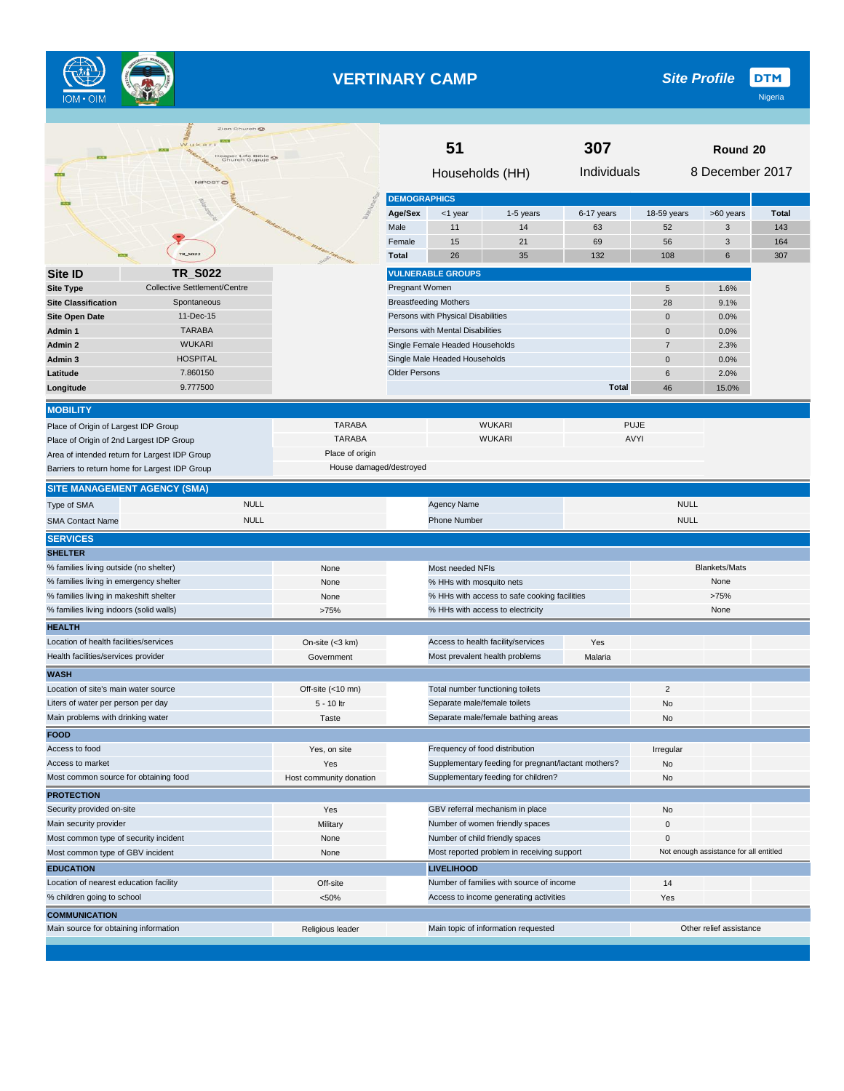

# **VERTINARY CAMP**

**DTM** *Site Profile*

|                                          | Wukar<br>eper Life Bible<br>Church Gupuje ©   |                         | 51                   |                                    |                                                     | 307          | Round 20       |                                        |              |
|------------------------------------------|-----------------------------------------------|-------------------------|----------------------|------------------------------------|-----------------------------------------------------|--------------|----------------|----------------------------------------|--------------|
|                                          | NIPOST <sup>O</sup>                           |                         | Households (HH)      |                                    |                                                     | Individuals  |                | 8 December 2017                        |              |
|                                          |                                               |                         | <b>DEMOGRAPHICS</b>  |                                    |                                                     |              |                |                                        |              |
|                                          |                                               |                         | Age/Sex              | <1 year                            | 1-5 years                                           | 6-17 years   | 18-59 years    | >60 years                              | <b>Total</b> |
|                                          |                                               | taken hakun Ru          | Male                 | 11                                 | 14                                                  | 63           | 52             | 3                                      | 143          |
|                                          |                                               | <b>William Takum</b>    | Female               | 15                                 | 21                                                  | 69           | 56             | 3                                      | 164          |
|                                          | TR_5022                                       |                         | <b>Total</b>         | 26                                 | 35                                                  | 132          | 108            | 6                                      | 307          |
| Site ID                                  | <b>TR_S022</b>                                |                         |                      | <b>VULNERABLE GROUPS</b>           |                                                     |              |                |                                        |              |
| <b>Site Type</b>                         | Collective Settlement/Centre                  |                         | Pregnant Women       |                                    |                                                     |              | 5              | 1.6%                                   |              |
| <b>Site Classification</b>               | Spontaneous                                   |                         |                      | <b>Breastfeeding Mothers</b>       |                                                     |              | 28             | 9.1%                                   |              |
| <b>Site Open Date</b>                    | 11-Dec-15                                     |                         |                      | Persons with Physical Disabilities |                                                     |              | 0              | 0.0%                                   |              |
| Admin 1                                  | <b>TARABA</b>                                 |                         |                      | Persons with Mental Disabilities   |                                                     |              | 0              | 0.0%                                   |              |
| Admin 2                                  | <b>WUKARI</b>                                 |                         |                      | Single Female Headed Households    |                                                     |              | $\overline{7}$ | 2.3%                                   |              |
| Admin 3                                  | HOSPITAL                                      |                         |                      | Single Male Headed Households      |                                                     |              | $\mathbf 0$    | 0.0%                                   |              |
| Latitude                                 | 7.860150                                      |                         | <b>Older Persons</b> |                                    |                                                     |              | 6              | 2.0%                                   |              |
| Longitude                                | 9.777500                                      |                         |                      |                                    |                                                     | <b>Total</b> | 46             | 15.0%                                  |              |
| <b>MOBILITY</b>                          |                                               |                         |                      |                                    |                                                     |              |                |                                        |              |
| Place of Origin of Largest IDP Group     |                                               | <b>TARABA</b>           |                      |                                    | <b>WUKARI</b>                                       |              | <b>PUJE</b>    |                                        |              |
| Place of Origin of 2nd Largest IDP Group |                                               | <b>TARABA</b>           |                      |                                    | <b>WUKARI</b>                                       |              | AVYI           |                                        |              |
|                                          | Area of intended return for Largest IDP Group | Place of origin         |                      |                                    |                                                     |              |                |                                        |              |
|                                          | Barriers to return home for Largest IDP Group | House damaged/destroyed |                      |                                    |                                                     |              |                |                                        |              |
|                                          | <b>SITE MANAGEMENT AGENCY (SMA)</b>           |                         |                      |                                    |                                                     |              |                |                                        |              |
| Type of SMA                              | <b>NULL</b>                                   |                         |                      | <b>Agency Name</b>                 |                                                     |              | <b>NULL</b>    |                                        |              |
| <b>SMA Contact Name</b>                  | <b>NULL</b>                                   |                         |                      | <b>Phone Number</b>                |                                                     |              | <b>NULL</b>    |                                        |              |
| <b>SERVICES</b>                          |                                               |                         |                      |                                    |                                                     |              |                |                                        |              |
| <b>SHELTER</b>                           |                                               |                         |                      |                                    |                                                     |              |                |                                        |              |
| % families living outside (no shelter)   |                                               | None                    |                      | Most needed NFIs                   |                                                     |              |                | <b>Blankets/Mats</b>                   |              |
| % families living in emergency shelter   |                                               | None                    |                      | % HHs with mosquito nets           |                                                     |              |                | None                                   |              |
| % families living in makeshift shelter   |                                               | None                    |                      |                                    | % HHs with access to safe cooking facilities        |              |                | >75%                                   |              |
| % families living indoors (solid walls)  |                                               | >75%                    |                      |                                    | % HHs with access to electricity                    |              |                | None                                   |              |
| <b>HEALTH</b>                            |                                               |                         |                      |                                    |                                                     |              |                |                                        |              |
| Location of health facilities/services   |                                               | On-site (<3 km)         |                      |                                    | Access to health facility/services                  | Yes          |                |                                        |              |
| Health facilities/services provider      |                                               | Government              |                      | Most prevalent health problems     |                                                     | Malaria      |                |                                        |              |
| <b>WASH</b>                              |                                               |                         |                      |                                    |                                                     |              |                |                                        |              |
| Location of site's main water source     |                                               | Off-site (<10 mn)       |                      | Total number functioning toilets   |                                                     |              | $\overline{c}$ |                                        |              |
| Liters of water per person per day       |                                               | 5 - 10 ltr              |                      | Separate male/female toilets       |                                                     |              | No             |                                        |              |
| Main problems with drinking water        |                                               | Taste                   |                      |                                    | Separate male/female bathing areas                  |              | No             |                                        |              |
| <b>FOOD</b>                              |                                               |                         |                      |                                    |                                                     |              |                |                                        |              |
| Access to food                           |                                               | Yes, on site            |                      | Frequency of food distribution     |                                                     |              | Irregular      |                                        |              |
| Access to market                         |                                               | Yes                     |                      |                                    | Supplementary feeding for pregnant/lactant mothers? |              | No             |                                        |              |
| Most common source for obtaining food    |                                               | Host community donation |                      |                                    | Supplementary feeding for children?                 |              | No             |                                        |              |
| <b>PROTECTION</b>                        |                                               |                         |                      |                                    |                                                     |              |                |                                        |              |
| Security provided on-site                |                                               | Yes                     |                      |                                    | GBV referral mechanism in place                     |              | No             |                                        |              |
| Main security provider                   |                                               | Military                |                      |                                    | Number of women friendly spaces                     |              | 0              |                                        |              |
| Most common type of security incident    |                                               | None                    |                      | Number of child friendly spaces    |                                                     |              | 0              |                                        |              |
| Most common type of GBV incident         |                                               | None                    |                      |                                    | Most reported problem in receiving support          |              |                | Not enough assistance for all entitled |              |
| <b>EDUCATION</b>                         |                                               |                         |                      | <b>LIVELIHOOD</b>                  |                                                     |              |                |                                        |              |
| Location of nearest education facility   |                                               | Off-site                |                      |                                    | Number of families with source of income            |              | 14             |                                        |              |
| % children going to school               |                                               | < 50%                   |                      |                                    | Access to income generating activities              |              | Yes            |                                        |              |
| <b>COMMUNICATION</b>                     |                                               |                         |                      |                                    |                                                     |              |                |                                        |              |
| Main source for obtaining information    |                                               | Religious leader        |                      |                                    | Main topic of information requested                 |              |                | Other relief assistance                |              |
|                                          |                                               |                         |                      |                                    |                                                     |              |                |                                        |              |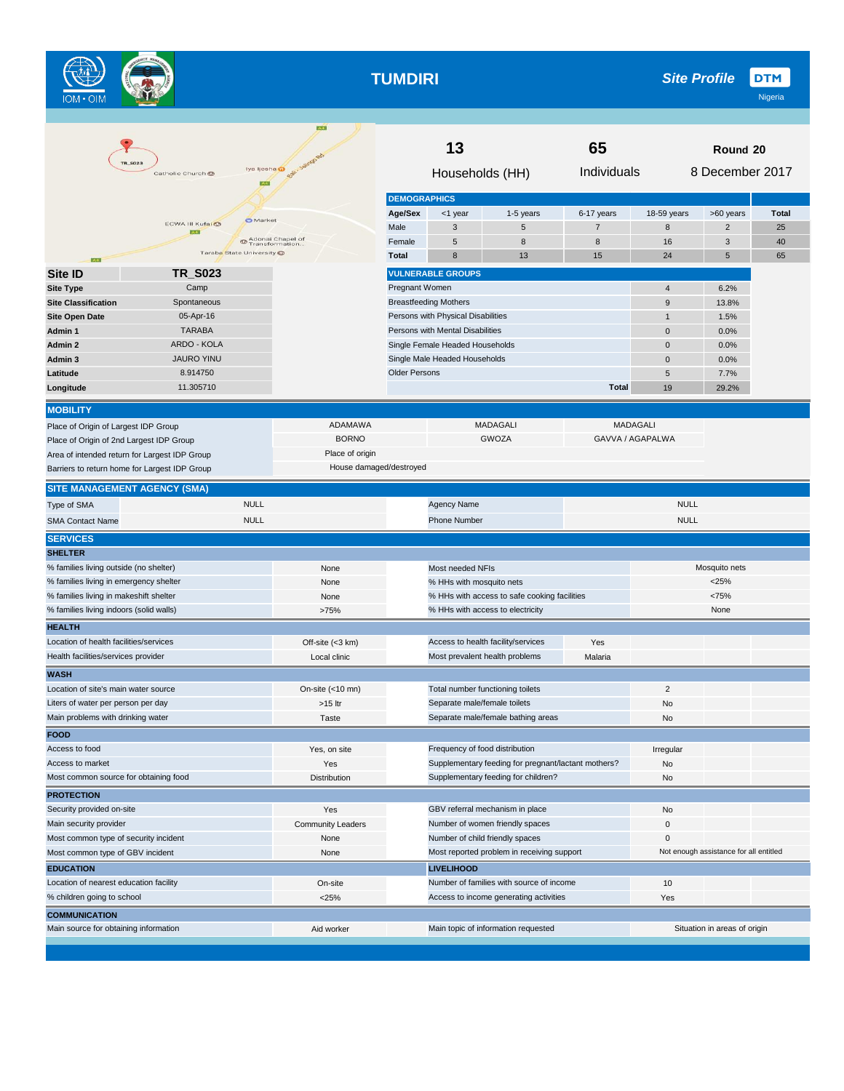**TUMDIRI**

 $\begin{picture}(120,10) \put(0,0){\line(1,0){10}} \put(15,0){\line(1,0){10}} \put(15,0){\line(1,0){10}} \put(15,0){\line(1,0){10}} \put(15,0){\line(1,0){10}} \put(15,0){\line(1,0){10}} \put(15,0){\line(1,0){10}} \put(15,0){\line(1,0){10}} \put(15,0){\line(1,0){10}} \put(15,0){\line(1,0){10}} \put(15,0){\line(1,0){10}} \put(15,0){\line($ 

|                                          | <b>TR SO23</b>                                | A                                  |                      | 13                                 |                                                     | 65             |                  | Round 20                               |              |
|------------------------------------------|-----------------------------------------------|------------------------------------|----------------------|------------------------------------|-----------------------------------------------------|----------------|------------------|----------------------------------------|--------------|
|                                          | Catholic Church @                             | lya ljesha @                       |                      |                                    | Households (HH)                                     | Individuals    |                  | 8 December 2017                        |              |
|                                          |                                               |                                    | <b>DEMOGRAPHICS</b>  |                                    |                                                     |                |                  |                                        |              |
|                                          |                                               | <b>O</b> Market                    | Age/Sex              | <1 year                            | 1-5 years                                           | 6-17 years     | 18-59 years      | >60 years                              | <b>Total</b> |
|                                          | ECWA III Kufai @<br>1233                      |                                    | Male                 | 3                                  | 5                                                   | $\overline{7}$ | 8                | $\overline{\mathbf{c}}$                | 25           |
|                                          |                                               | Adonai Chapel of<br>Transformation | Female               | 5                                  | 8                                                   | 8              | 16               | 3                                      | 40           |
| <b>A4</b>                                | Taraba State University O                     |                                    | <b>Total</b>         | 8                                  | 13                                                  | 15             | 24               | 5                                      | 65           |
| Site ID                                  | TR S023                                       |                                    |                      | <b>VULNERABLE GROUPS</b>           |                                                     |                |                  |                                        |              |
| <b>Site Type</b>                         | Camp                                          |                                    | Pregnant Women       |                                    |                                                     |                | $\overline{4}$   | 6.2%                                   |              |
| <b>Site Classification</b>               | Spontaneous                                   |                                    |                      | <b>Breastfeeding Mothers</b>       |                                                     |                | $9$              | 13.8%                                  |              |
| <b>Site Open Date</b>                    | 05-Apr-16                                     |                                    |                      | Persons with Physical Disabilities |                                                     |                | $\mathbf{1}$     | 1.5%                                   |              |
| Admin 1                                  | <b>TARABA</b>                                 |                                    |                      | Persons with Mental Disabilities   |                                                     |                | $\mathbf 0$      | 0.0%                                   |              |
| Admin 2                                  | ARDO - KOLA                                   |                                    |                      | Single Female Headed Households    |                                                     |                | $\mathbf{0}$     | 0.0%                                   |              |
| Admin <sub>3</sub>                       | <b>JAURO YINU</b>                             |                                    |                      | Single Male Headed Households      |                                                     |                | $\mathbf{0}$     | 0.0%                                   |              |
| Latitude                                 | 8.914750                                      |                                    | <b>Older Persons</b> |                                    |                                                     |                | 5                | 7.7%                                   |              |
| Longitude                                | 11.305710                                     |                                    |                      |                                    |                                                     | <b>Total</b>   | 19               | 29.2%                                  |              |
| <b>MOBILITY</b>                          |                                               |                                    |                      |                                    |                                                     |                |                  |                                        |              |
| Place of Origin of Largest IDP Group     |                                               | ADAMAWA                            |                      |                                    | <b>MADAGALI</b>                                     |                | <b>MADAGALI</b>  |                                        |              |
| Place of Origin of 2nd Largest IDP Group |                                               | <b>BORNO</b>                       |                      |                                    | <b>GWOZA</b>                                        |                | GAVVA / AGAPALWA |                                        |              |
|                                          | Area of intended return for Largest IDP Group | Place of origin                    |                      |                                    |                                                     |                |                  |                                        |              |
|                                          | Barriers to return home for Largest IDP Group | House damaged/destroyed            |                      |                                    |                                                     |                |                  |                                        |              |
| <b>SITE MANAGEMENT AGENCY (SMA)</b>      |                                               |                                    |                      |                                    |                                                     |                |                  |                                        |              |
| Type of SMA                              | <b>NULL</b>                                   |                                    |                      | Agency Name                        |                                                     |                | <b>NULL</b>      |                                        |              |
| <b>SMA Contact Name</b>                  | <b>NULL</b>                                   |                                    |                      | <b>Phone Number</b>                |                                                     |                | <b>NULL</b>      |                                        |              |
| <b>SERVICES</b>                          |                                               |                                    |                      |                                    |                                                     |                |                  |                                        |              |
| <b>SHELTER</b>                           |                                               |                                    |                      |                                    |                                                     |                |                  |                                        |              |
| % families living outside (no shelter)   |                                               | None                               |                      | Most needed NFIs                   |                                                     |                |                  | Mosquito nets                          |              |
| % families living in emergency shelter   |                                               | None                               |                      | % HHs with mosquito nets           |                                                     |                |                  | < 25%                                  |              |
| % families living in makeshift shelter   |                                               | None                               |                      |                                    | % HHs with access to safe cooking facilities        |                |                  | <75%                                   |              |
| % families living indoors (solid walls)  |                                               | >75%                               |                      |                                    | % HHs with access to electricity                    |                |                  | None                                   |              |
| <b>HEALTH</b>                            |                                               |                                    |                      |                                    |                                                     |                |                  |                                        |              |
| Location of health facilities/services   |                                               | Off-site (<3 km)                   |                      |                                    | Access to health facility/services                  | Yes            |                  |                                        |              |
| Health facilities/services provider      |                                               | Local clinic                       |                      |                                    | Most prevalent health problems                      | Malaria        |                  |                                        |              |
| <b>WASH</b>                              |                                               |                                    |                      |                                    |                                                     |                |                  |                                        |              |
| Location of site's main water source     |                                               | On-site (<10 mn)                   |                      |                                    | Total number functioning toilets                    |                | $\overline{2}$   |                                        |              |
| Liters of water per person per day       |                                               | $>15$ ltr                          |                      | Separate male/female toilets       |                                                     |                | No               |                                        |              |
| Main problems with drinking water        |                                               | Taste                              |                      |                                    | Separate male/female bathing areas                  |                | No               |                                        |              |
| <b>FOOD</b>                              |                                               |                                    |                      |                                    |                                                     |                |                  |                                        |              |
| Access to food                           |                                               | Yes, on site                       |                      |                                    | Frequency of food distribution                      |                | Irregular        |                                        |              |
| Access to market                         |                                               | Yes                                |                      |                                    | Supplementary feeding for pregnant/lactant mothers? |                | No               |                                        |              |
| Most common source for obtaining food    |                                               | Distribution                       |                      |                                    | Supplementary feeding for children?                 |                | No               |                                        |              |
| <b>PROTECTION</b>                        |                                               |                                    |                      |                                    |                                                     |                |                  |                                        |              |
| Security provided on-site                |                                               | Yes                                |                      |                                    | GBV referral mechanism in place                     |                | No               |                                        |              |
| Main security provider                   |                                               | <b>Community Leaders</b>           |                      |                                    | Number of women friendly spaces                     |                | $\mathbf 0$      |                                        |              |
| Most common type of security incident    |                                               | None                               |                      |                                    | Number of child friendly spaces                     |                | 0                |                                        |              |
| Most common type of GBV incident         |                                               | None                               |                      |                                    | Most reported problem in receiving support          |                |                  | Not enough assistance for all entitled |              |
| <b>EDUCATION</b>                         |                                               |                                    |                      | <b>LIVELIHOOD</b>                  |                                                     |                |                  |                                        |              |
| Location of nearest education facility   |                                               | On-site                            |                      |                                    | Number of families with source of income            |                | 10               |                                        |              |
| % children going to school               |                                               | $<$ 25%                            |                      |                                    | Access to income generating activities              |                | Yes              |                                        |              |
| <b>COMMUNICATION</b>                     |                                               |                                    |                      |                                    |                                                     |                |                  |                                        |              |
| Main source for obtaining information    |                                               | Aid worker                         |                      |                                    | Main topic of information requested                 |                |                  | Situation in areas of origin           |              |
|                                          |                                               |                                    |                      |                                    |                                                     |                |                  |                                        |              |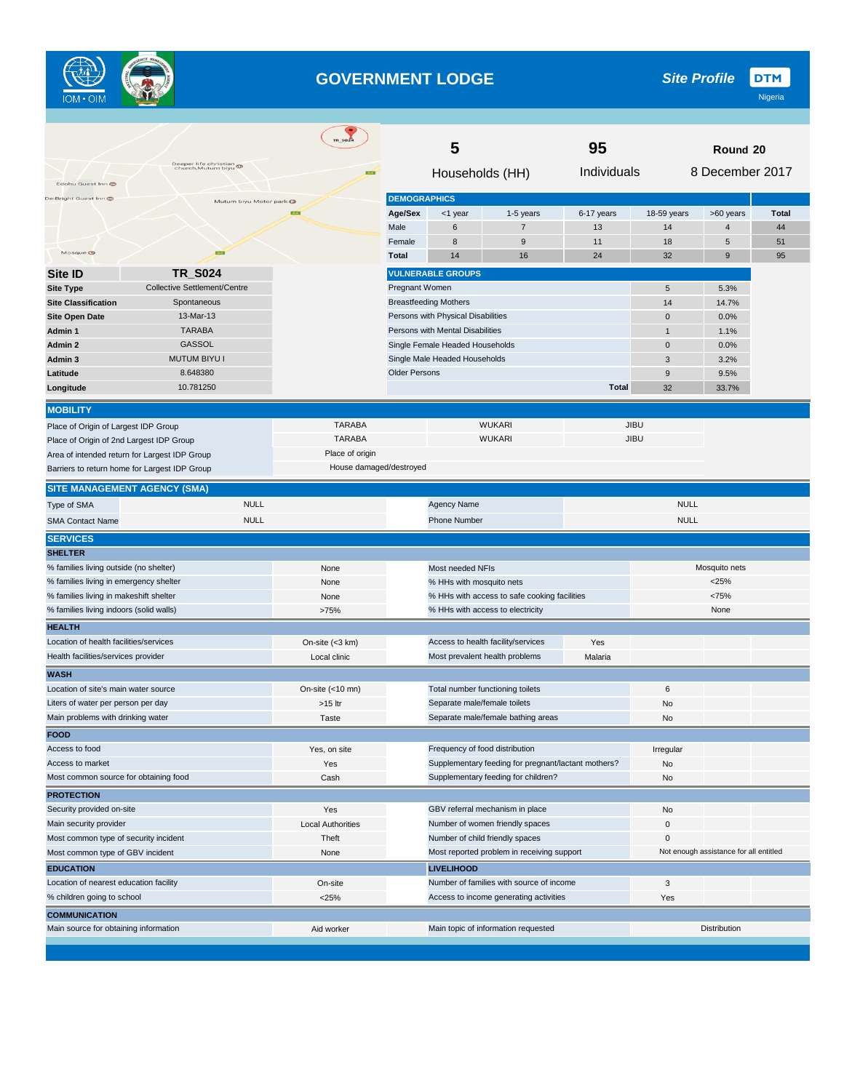

#### **GOVERNMENT LODGE**

|                                                                         |                                               | <b>TR_5024</b>           | 5                                             |                                    |                                                     | 95                             | Round 20       |                                        |              |
|-------------------------------------------------------------------------|-----------------------------------------------|--------------------------|-----------------------------------------------|------------------------------------|-----------------------------------------------------|--------------------------------|----------------|----------------------------------------|--------------|
| Edohu Guest Inn                                                         | Deeper life christian<br>church, Mutum biyu   | <b>EXT</b>               | Households (HH)                               |                                    |                                                     | 8 December 2017<br>Individuals |                |                                        |              |
| De-Bright Guest Inn                                                     |                                               |                          | <b>DEMOGRAPHICS</b>                           |                                    |                                                     |                                |                |                                        |              |
|                                                                         | Mutum biyu Motor park                         |                          | Age/Sex                                       | <1 year                            | 1-5 years                                           | 6-17 years                     | 18-59 years    | >60 years                              | <b>Total</b> |
|                                                                         |                                               |                          | Male                                          | 6                                  | $\overline{7}$                                      | 13                             | 14             | 4                                      | 44           |
|                                                                         |                                               |                          | Female                                        | 8                                  | 9                                                   | 11                             | 18             | 5                                      | 51           |
| Mosque <b>@</b>                                                         | <b>CALL</b>                                   |                          | <b>Total</b>                                  | 14                                 | 16                                                  | 24                             | 32             | 9                                      | 95           |
|                                                                         | <b>TR_S024</b>                                |                          |                                               | <b>VULNERABLE GROUPS</b>           |                                                     |                                |                |                                        |              |
| Site ID                                                                 | Collective Settlement/Centre                  |                          | Pregnant Women                                |                                    |                                                     |                                | 5              | 5.3%                                   |              |
| <b>Site Type</b><br><b>Site Classification</b>                          | Spontaneous                                   |                          |                                               | <b>Breastfeeding Mothers</b>       |                                                     |                                | 14             | 14.7%                                  |              |
| <b>Site Open Date</b>                                                   | 13-Mar-13                                     |                          |                                               | Persons with Physical Disabilities |                                                     |                                | $\mathbf 0$    | 0.0%                                   |              |
| Admin 1                                                                 | <b>TARABA</b>                                 |                          |                                               | Persons with Mental Disabilities   |                                                     |                                | $\mathbf{1}$   | 1.1%                                   |              |
| Admin 2                                                                 | <b>GASSOL</b>                                 |                          |                                               | Single Female Headed Households    |                                                     |                                | $\overline{0}$ | 0.0%                                   |              |
| Admin 3                                                                 | <b>MUTUM BIYU I</b>                           |                          |                                               | Single Male Headed Households      |                                                     |                                | 3              | 3.2%                                   |              |
| Latitude                                                                | 8.648380                                      |                          | <b>Older Persons</b>                          |                                    |                                                     |                                | 9              | 9.5%                                   |              |
| Longitude                                                               | 10.781250                                     |                          |                                               |                                    |                                                     | <b>Total</b>                   | 32             | 33.7%                                  |              |
|                                                                         |                                               |                          |                                               |                                    |                                                     |                                |                |                                        |              |
| <b>MOBILITY</b>                                                         |                                               |                          |                                               |                                    |                                                     |                                |                |                                        |              |
| Place of Origin of Largest IDP Group                                    |                                               | <b>TARABA</b>            |                                               |                                    | <b>WUKARI</b>                                       |                                | <b>JIBU</b>    |                                        |              |
| Place of Origin of 2nd Largest IDP Group                                |                                               | <b>TARABA</b>            |                                               |                                    | <b>WUKARI</b>                                       |                                | <b>JIBU</b>    |                                        |              |
|                                                                         | Area of intended return for Largest IDP Group | Place of origin          |                                               |                                    |                                                     |                                |                |                                        |              |
|                                                                         | Barriers to return home for Largest IDP Group | House damaged/destroyed  |                                               |                                    |                                                     |                                |                |                                        |              |
| <b>SITE MANAGEMENT AGENCY (SMA)</b>                                     |                                               |                          |                                               |                                    |                                                     |                                |                |                                        |              |
| Type of SMA                                                             | <b>NULL</b>                                   |                          |                                               | Agency Name                        |                                                     |                                | <b>NULL</b>    |                                        |              |
| <b>SMA Contact Name</b>                                                 | <b>NULL</b>                                   |                          |                                               | <b>Phone Number</b>                |                                                     |                                | <b>NULL</b>    |                                        |              |
| <b>SERVICES</b>                                                         |                                               |                          |                                               |                                    |                                                     |                                |                |                                        |              |
| <b>SHELTER</b>                                                          |                                               |                          |                                               |                                    |                                                     |                                |                |                                        |              |
| % families living outside (no shelter)                                  |                                               | None                     |                                               | Most needed NFIs                   |                                                     |                                |                | Mosquito nets                          |              |
| % families living in emergency shelter                                  |                                               | None                     |                                               | % HHs with mosquito nets           |                                                     |                                |                | $<$ 25%                                |              |
| % families living in makeshift shelter                                  |                                               | None                     |                                               |                                    | % HHs with access to safe cooking facilities        |                                |                | <75%                                   |              |
| % families living indoors (solid walls)                                 |                                               | >75%                     |                                               |                                    | % HHs with access to electricity                    |                                |                |                                        |              |
| <b>HEALTH</b>                                                           |                                               |                          |                                               |                                    |                                                     |                                |                |                                        |              |
| Location of health facilities/services                                  |                                               | On-site (<3 km)          |                                               |                                    | Access to health facility/services                  | Yes                            |                |                                        |              |
| Health facilities/services provider                                     |                                               | Local clinic             |                                               |                                    | Most prevalent health problems                      | Malaria                        |                |                                        |              |
|                                                                         |                                               |                          |                                               |                                    |                                                     |                                |                |                                        |              |
| <b>WASH</b><br>Location of site's main water source                     |                                               |                          |                                               |                                    |                                                     |                                |                |                                        |              |
|                                                                         |                                               | On-site (<10 mn)         |                                               | Separate male/female toilets       | Total number functioning toilets                    |                                | 6<br>No        |                                        |              |
| Liters of water per person per day<br>Main problems with drinking water |                                               | >15 ltr<br>Taste         |                                               |                                    | Separate male/female bathing areas                  |                                | No             |                                        |              |
|                                                                         |                                               |                          |                                               |                                    |                                                     |                                |                |                                        |              |
| <b>FOOD</b>                                                             |                                               |                          |                                               |                                    |                                                     |                                |                |                                        |              |
| Access to food                                                          |                                               | Yes, on site             |                                               | Frequency of food distribution     |                                                     |                                | Irregular      |                                        |              |
| Access to market                                                        |                                               | Yes                      |                                               |                                    | Supplementary feeding for pregnant/lactant mothers? |                                | No             |                                        |              |
| Most common source for obtaining food                                   |                                               | Cash                     |                                               |                                    | Supplementary feeding for children?                 |                                | No             |                                        |              |
| <b>PROTECTION</b>                                                       |                                               |                          |                                               |                                    |                                                     |                                |                |                                        |              |
| Security provided on-site                                               |                                               | Yes                      |                                               |                                    | GBV referral mechanism in place                     |                                | No             |                                        |              |
| Main security provider                                                  |                                               | <b>Local Authorities</b> | Number of women friendly spaces               |                                    |                                                     |                                | 0              |                                        |              |
| Most common type of security incident                                   |                                               | Theft                    | Number of child friendly spaces               |                                    |                                                     |                                | 0              |                                        |              |
| Most common type of GBV incident                                        |                                               | None                     | Most reported problem in receiving support    |                                    |                                                     |                                |                | Not enough assistance for all entitled |              |
| <b>EDUCATION</b>                                                        |                                               |                          | <b>LIVELIHOOD</b>                             |                                    |                                                     |                                |                |                                        |              |
| Location of nearest education facility                                  |                                               | On-site                  | Number of families with source of income<br>3 |                                    |                                                     |                                |                |                                        |              |
| % children going to school                                              |                                               | < 25%                    | Access to income generating activities        |                                    |                                                     |                                | Yes            |                                        |              |
| <b>COMMUNICATION</b>                                                    |                                               |                          |                                               |                                    |                                                     |                                |                |                                        |              |
| Main source for obtaining information                                   |                                               | Aid worker               |                                               |                                    | Main topic of information requested                 |                                |                | Distribution                           |              |
|                                                                         |                                               |                          |                                               |                                    |                                                     |                                |                |                                        |              |